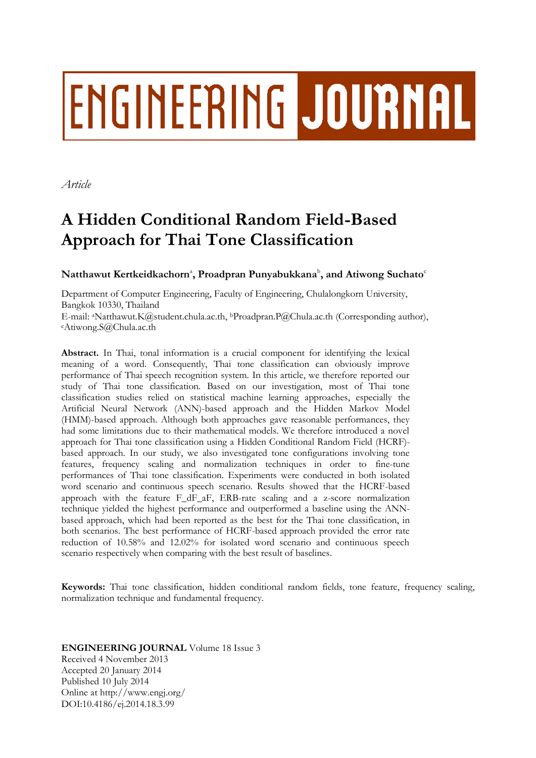# **ENGINEERING JOURNAL**

*Article*

# **A Hidden Conditional Random Field-Based Approach for Thai Tone Classification**

# $\mathbf{N}$ atthawut Kertkeidkachorn $^{\circ}$ , Proadpran Punyabukkana $^{\circ}$ , and Atiwong Suchato $^{\circ}$

Department of Computer Engineering, Faculty of Engineering, Chulalongkorn University, Bangkok 10330, Thailand E-mail: <sup>a</sup>Natthawut.K@student.chula.ac.th, <sup>b</sup>Proadpran.P@Chula.ac.th (Corresponding author), <sup>c</sup>Atiwong.S@Chula.ac.th

**Abstract.** In Thai, tonal information is a crucial component for identifying the lexical meaning of a word. Consequently, Thai tone classification can obviously improve performance of Thai speech recognition system. In this article, we therefore reported our study of Thai tone classification. Based on our investigation, most of Thai tone classification studies relied on statistical machine learning approaches, especially the Artificial Neural Network (ANN)-based approach and the Hidden Markov Model (HMM)-based approach. Although both approaches gave reasonable performances, they had some limitations due to their mathematical models. We therefore introduced a novel approach for Thai tone classification using a Hidden Conditional Random Field (HCRF) based approach. In our study, we also investigated tone configurations involving tone features, frequency scaling and normalization techniques in order to fine-tune performances of Thai tone classification. Experiments were conducted in both isolated word scenario and continuous speech scenario. Results showed that the HCRF-based approach with the feature F dF aF, ERB-rate scaling and a z-score normalization technique yielded the highest performance and outperformed a baseline using the ANNbased approach, which had been reported as the best for the Thai tone classification, in both scenarios. The best performance of HCRF-based approach provided the error rate reduction of 10.58% and 12.02% for isolated word scenario and continuous speech scenario respectively when comparing with the best result of baselines.

**Keywords:** Thai tone classification, hidden conditional random fields, tone feature, frequency scaling, normalization technique and fundamental frequency.

# **ENGINEERING JOURNAL** Volume 18 Issue 3

Received 4 November 2013 Accepted 20 January 2014 Published 10 July 2014 Online at http://www.engj.org/ DOI:10.4186/ej.2014.18.3.99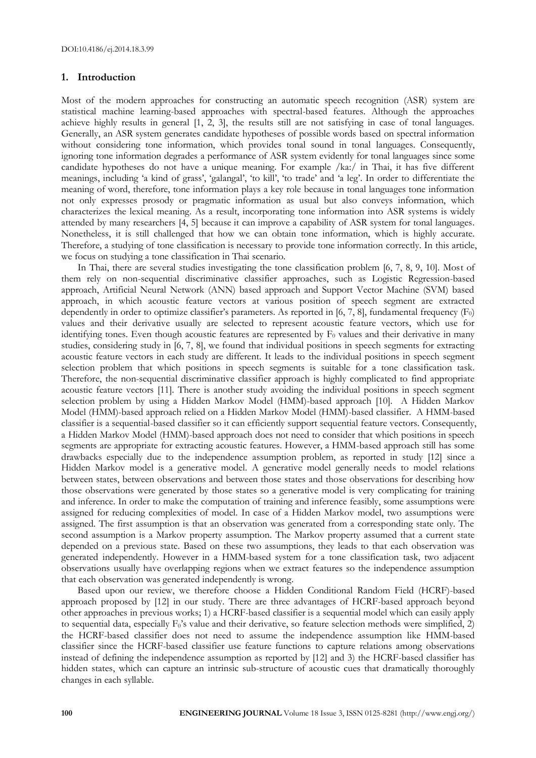#### **1. Introduction**

Most of the modern approaches for constructing an automatic speech recognition (ASR) system are statistical machine learning-based approaches with spectral-based features. Although the approaches achieve highly results in general [1, 2, 3], the results still are not satisfying in case of tonal languages. Generally, an ASR system generates candidate hypotheses of possible words based on spectral information without considering tone information, which provides tonal sound in tonal languages. Consequently, ignoring tone information degrades a performance of ASR system evidently for tonal languages since some candidate hypotheses do not have a unique meaning. For example /ka:/ in Thai, it has five different meanings, including 'a kind of grass', 'galangal', 'to kill', 'to trade' and 'a leg'. In order to differentiate the meaning of word, therefore, tone information plays a key role because in tonal languages tone information not only expresses prosody or pragmatic information as usual but also conveys information, which characterizes the lexical meaning. As a result, incorporating tone information into ASR systems is widely attended by many researchers [4, 5] because it can improve a capability of ASR system for tonal languages. Nonetheless, it is still challenged that how we can obtain tone information, which is highly accurate. Therefore, a studying of tone classification is necessary to provide tone information correctly. In this article, we focus on studying a tone classification in Thai scenario.

In Thai, there are several studies investigating the tone classification problem [6, 7, 8, 9, 10]. Most of them rely on non-sequential discriminative classifier approaches, such as Logistic Regression-based approach, Artificial Neural Network (ANN) based approach and Support Vector Machine (SVM) based approach, in which acoustic feature vectors at various position of speech segment are extracted dependently in order to optimize classifier's parameters. As reported in  $[6, 7, 8]$ , fundamental frequency  $(F_0)$ values and their derivative usually are selected to represent acoustic feature vectors, which use for identifying tones. Even though acoustic features are represented by  $F_0$  values and their derivative in many studies, considering study in [6, 7, 8], we found that individual positions in speech segments for extracting acoustic feature vectors in each study are different. It leads to the individual positions in speech segment selection problem that which positions in speech segments is suitable for a tone classification task. Therefore, the non-sequential discriminative classifier approach is highly complicated to find appropriate acoustic feature vectors [11]. There is another study avoiding the individual positions in speech segment selection problem by using a Hidden Markov Model (HMM)-based approach [10]. A Hidden Markov Model (HMM)-based approach relied on a Hidden Markov Model (HMM)-based classifier. A HMM-based classifier is a sequential-based classifier so it can efficiently support sequential feature vectors. Consequently, a Hidden Markov Model (HMM)-based approach does not need to consider that which positions in speech segments are appropriate for extracting acoustic features. However, a HMM-based approach still has some drawbacks especially due to the independence assumption problem, as reported in study [12] since a Hidden Markov model is a generative model. A generative model generally needs to model relations between states, between observations and between those states and those observations for describing how those observations were generated by those states so a generative model is very complicating for training and inference. In order to make the computation of training and inference feasibly, some assumptions were assigned for reducing complexities of model. In case of a Hidden Markov model, two assumptions were assigned. The first assumption is that an observation was generated from a corresponding state only. The second assumption is a Markov property assumption. The Markov property assumed that a current state depended on a previous state. Based on these two assumptions, they leads to that each observation was generated independently. However in a HMM-based system for a tone classification task, two adjacent observations usually have overlapping regions when we extract features so the independence assumption that each observation was generated independently is wrong.

Based upon our review, we therefore choose a Hidden Conditional Random Field (HCRF)-based approach proposed by [12] in our study. There are three advantages of HCRF-based approach beyond other approaches in previous works; 1) a HCRF-based classifier is a sequential model which can easily apply to sequential data, especially  $F_0$ 's value and their derivative, so feature selection methods were simplified, 2) the HCRF-based classifier does not need to assume the independence assumption like HMM-based classifier since the HCRF-based classifier use feature functions to capture relations among observations instead of defining the independence assumption as reported by [12] and 3) the HCRF-based classifier has hidden states, which can capture an intrinsic sub-structure of acoustic cues that dramatically thoroughly changes in each syllable.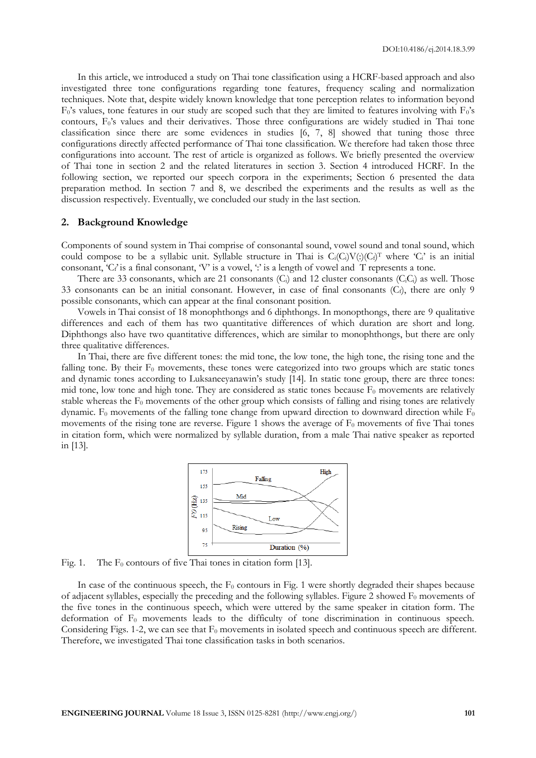In this article, we introduced a study on Thai tone classification using a HCRF-based approach and also investigated three tone configurations regarding tone features, frequency scaling and normalization techniques. Note that, despite widely known knowledge that tone perception relates to information beyond  $F_0$ 's values, tone features in our study are scoped such that they are limited to features involving with  $F_0$ 's contours, F<sub>0</sub>'s values and their derivatives. Those three configurations are widely studied in Thai tone classification since there are some evidences in studies [6, 7, 8] showed that tuning those three configurations directly affected performance of Thai tone classification. We therefore had taken those three configurations into account. The rest of article is organized as follows. We briefly presented the overview of Thai tone in section 2 and the related literatures in section 3. Section 4 introduced HCRF. In the following section, we reported our speech corpora in the experiments; Section 6 presented the data preparation method. In section 7 and 8, we described the experiments and the results as well as the discussion respectively. Eventually, we concluded our study in the last section.

#### **2. Background Knowledge**

Components of sound system in Thai comprise of consonantal sound, vowel sound and tonal sound, which could compose to be a syllabic unit. Syllable structure in Thai is  $C_i(C_i)V(.)(C_f)^T$  where 'C' is an initial consonant, 'C<sub>i</sub>' is a final consonant, 'V' is a vowel, ':' is a length of vowel and T represents a tone.

There are 33 consonants, which are 21 consonants  $(C_i)$  and 12 cluster consonants  $(C_iC_i)$  as well. Those 33 consonants can be an initial consonant. However, in case of final consonants  $(C_f)$ , there are only 9 possible consonants, which can appear at the final consonant position.

Vowels in Thai consist of 18 monophthongs and 6 diphthongs. In monopthongs, there are 9 qualitative differences and each of them has two quantitative differences of which duration are short and long. Diphthongs also have two quantitative differences, which are similar to monophthongs, but there are only three qualitative differences.

In Thai, there are five different tones: the mid tone, the low tone, the high tone, the rising tone and the falling tone. By their  $F_0$  movements, these tones were categorized into two groups which are static tones and dynamic tones according to Luksaneeyanawin's study [14]. In static tone group, there are three tones: mid tone, low tone and high tone. They are considered as static tones because  $F_0$  movements are relatively stable whereas the  $F_0$  movements of the other group which consists of falling and rising tones are relatively dynamic.  $F_0$  movements of the falling tone change from upward direction to downward direction while  $F_0$ movements of the rising tone are reverse. Figure 1 shows the average of  $F_0$  movements of five Thai tones in citation form, which were normalized by syllable duration, from a male Thai native speaker as reported in [13].



Fig. 1. The  $F_0$  contours of five Thai tones in citation form [13].

In case of the continuous speech, the  $F_0$  contours in Fig. 1 were shortly degraded their shapes because of adjacent syllables, especially the preceding and the following syllables. Figure 2 showed  $F_0$  movements of the five tones in the continuous speech, which were uttered by the same speaker in citation form. The deformation of  $F_0$  movements leads to the difficulty of tone discrimination in continuous speech. Considering Figs. 1-2, we can see that  $F_0$  movements in isolated speech and continuous speech are different. Therefore, we investigated Thai tone classification tasks in both scenarios.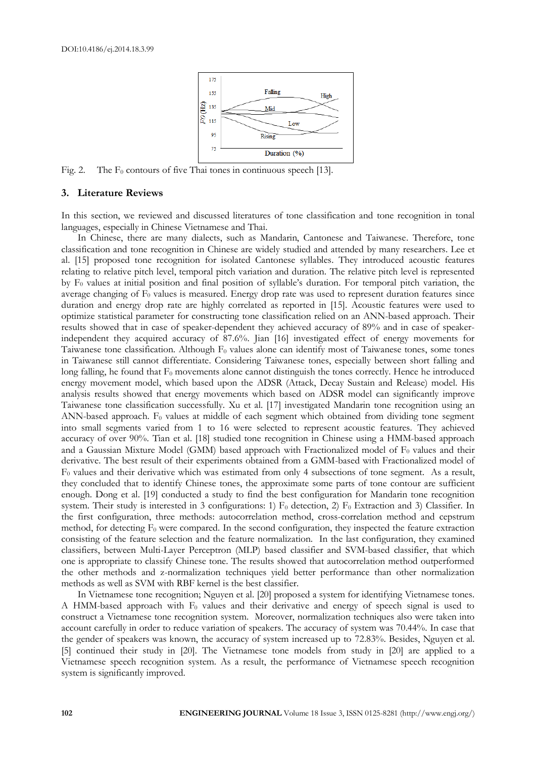

Fig. 2. The  $F_0$  contours of five Thai tones in continuous speech [13].

# **3. Literature Reviews**

In this section, we reviewed and discussed literatures of tone classification and tone recognition in tonal languages, especially in Chinese Vietnamese and Thai.

In Chinese, there are many dialects, such as Mandarin, Cantonese and Taiwanese. Therefore, tone classification and tone recognition in Chinese are widely studied and attended by many researchers. Lee et al. [15] proposed tone recognition for isolated Cantonese syllables. They introduced acoustic features relating to relative pitch level, temporal pitch variation and duration. The relative pitch level is represented by  $F_0$  values at initial position and final position of syllable's duration. For temporal pitch variation, the average changing of  $F_0$  values is measured. Energy drop rate was used to represent duration features since duration and energy drop rate are highly correlated as reported in [15]. Acoustic features were used to optimize statistical parameter for constructing tone classification relied on an ANN-based approach. Their results showed that in case of speaker-dependent they achieved accuracy of 89% and in case of speakerindependent they acquired accuracy of 87.6%. Jian [16] investigated effect of energy movements for Taiwanese tone classification. Although F<sub>0</sub> values alone can identify most of Taiwanese tones, some tones in Taiwanese still cannot differentiate. Considering Taiwanese tones, especially between short falling and long falling, he found that  $F_0$  movements alone cannot distinguish the tones correctly. Hence he introduced energy movement model, which based upon the ADSR (Attack, Decay Sustain and Release) model. His analysis results showed that energy movements which based on ADSR model can significantly improve Taiwanese tone classification successfully. Xu et al. [17] investigated Mandarin tone recognition using an ANN-based approach.  $F_0$  values at middle of each segment which obtained from dividing tone segment into small segments varied from 1 to 16 were selected to represent acoustic features. They achieved accuracy of over 90%. Tian et al. [18] studied tone recognition in Chinese using a HMM-based approach and a Gaussian Mixture Model (GMM) based approach with Fractionalized model of  $F_0$  values and their derivative. The best result of their experiments obtained from a GMM-based with Fractionalized model of F<sup>0</sup> values and their derivative which was estimated from only 4 subsections of tone segment. As a result, they concluded that to identify Chinese tones, the approximate some parts of tone contour are sufficient enough. Dong et al. [19] conducted a study to find the best configuration for Mandarin tone recognition system. Their study is interested in 3 configurations: 1)  $F_0$  detection, 2)  $F_0$  Extraction and 3) Classifier. In the first configuration, three methods: autocorrelation method, cross-correlation method and cepstrum method, for detecting  $F_0$  were compared. In the second configuration, they inspected the feature extraction consisting of the feature selection and the feature normalization. In the last configuration, they examined classifiers, between Multi-Layer Perceptron (MLP) based classifier and SVM-based classifier, that which one is appropriate to classify Chinese tone. The results showed that autocorrelation method outperformed the other methods and z-normalization techniques yield better performance than other normalization methods as well as SVM with RBF kernel is the best classifier.

In Vietnamese tone recognition; Nguyen et al. [20] proposed a system for identifying Vietnamese tones. A HMM-based approach with  $F_0$  values and their derivative and energy of speech signal is used to construct a Vietnamese tone recognition system. Moreover, normalization techniques also were taken into account carefully in order to reduce variation of speakers. The accuracy of system was 70.44%. In case that the gender of speakers was known, the accuracy of system increased up to 72.83%. Besides, Nguyen et al. [5] continued their study in [20]. The Vietnamese tone models from study in [20] are applied to a Vietnamese speech recognition system. As a result, the performance of Vietnamese speech recognition system is significantly improved.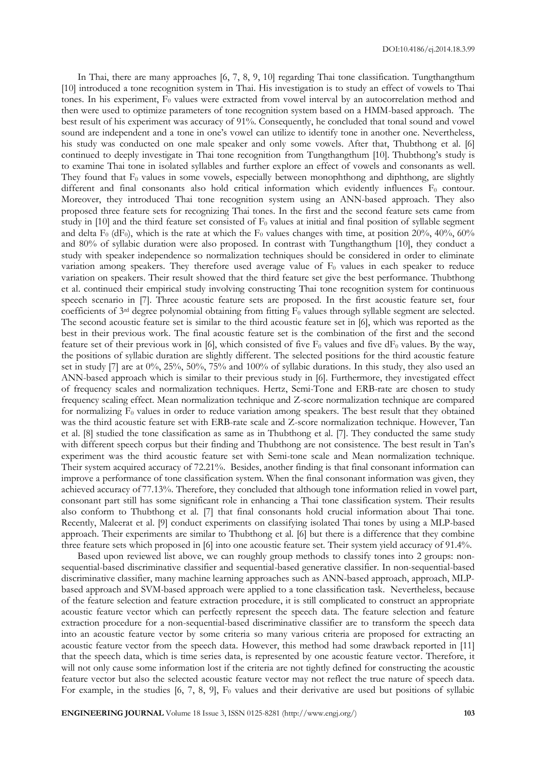In Thai, there are many approaches [6, 7, 8, 9, 10] regarding Thai tone classification. Tungthangthum [10] introduced a tone recognition system in Thai. His investigation is to study an effect of vowels to Thai tones. In his experiment,  $F_0$  values were extracted from vowel interval by an autocorrelation method and then were used to optimize parameters of tone recognition system based on a HMM-based approach. The best result of his experiment was accuracy of 91%. Consequently, he concluded that tonal sound and vowel sound are independent and a tone in one's vowel can utilize to identify tone in another one. Nevertheless, his study was conducted on one male speaker and only some vowels. After that, Thubthong et al. [6] continued to deeply investigate in Thai tone recognition from Tungthangthum [10]. Thubthong's study is to examine Thai tone in isolated syllables and further explore an effect of vowels and consonants as well. They found that  $F_0$  values in some vowels, especially between monophthong and diphthong, are slightly different and final consonants also hold critical information which evidently influences  $F_0$  contour. Moreover, they introduced Thai tone recognition system using an ANN-based approach. They also proposed three feature sets for recognizing Thai tones. In the first and the second feature sets came from study in  $[10]$  and the third feature set consisted of  $F_0$  values at initial and final position of syllable segment and delta  $F_0$  (dF<sub>0</sub>), which is the rate at which the  $F_0$  values changes with time, at position 20%, 40%, 60% and 80% of syllabic duration were also proposed. In contrast with Tungthangthum [10], they conduct a study with speaker independence so normalization techniques should be considered in order to eliminate variation among speakers. They therefore used average value of  $F_0$  values in each speaker to reduce variation on speakers. Their result showed that the third feature set give the best performance. Thubthong et al. continued their empirical study involving constructing Thai tone recognition system for continuous speech scenario in [7]. Three acoustic feature sets are proposed. In the first acoustic feature set, four coefficients of  $3<sup>rd</sup>$  degree polynomial obtaining from fitting  $F_0$  values through syllable segment are selected. The second acoustic feature set is similar to the third acoustic feature set in [6], which was reported as the best in their previous work. The final acoustic feature set is the combination of the first and the second feature set of their previous work in [6], which consisted of five  $F_0$  values and five dF<sub>0</sub> values. By the way, the positions of syllabic duration are slightly different. The selected positions for the third acoustic feature set in study [7] are at 0%, 25%, 50%, 75% and 100% of syllabic durations. In this study, they also used an ANN-based approach which is similar to their previous study in [6]. Furthermore, they investigated effect of frequency scales and normalization techniques. Hertz, Semi-Tone and ERB-rate are chosen to study frequency scaling effect. Mean normalization technique and Z-score normalization technique are compared for normalizing  $F_0$  values in order to reduce variation among speakers. The best result that they obtained was the third acoustic feature set with ERB-rate scale and Z-score normalization technique. However, Tan et al. [8] studied the tone classification as same as in Thubthong et al. [7]. They conducted the same study with different speech corpus but their finding and Thubthong are not consistence. The best result in Tan's experiment was the third acoustic feature set with Semi-tone scale and Mean normalization technique. Their system acquired accuracy of 72.21%. Besides, another finding is that final consonant information can improve a performance of tone classification system. When the final consonant information was given, they achieved accuracy of 77.13%. Therefore, they concluded that although tone information relied in vowel part, consonant part still has some significant role in enhancing a Thai tone classification system. Their results also conform to Thubthong et al. [7] that final consonants hold crucial information about Thai tone. Recently, Maleerat et al. [9] conduct experiments on classifying isolated Thai tones by using a MLP-based approach. Their experiments are similar to Thubthong et al. [6] but there is a difference that they combine three feature sets which proposed in [6] into one acoustic feature set. Their system yield accuracy of 91.4%.

Based upon reviewed list above, we can roughly group methods to classify tones into 2 groups: nonsequential-based discriminative classifier and sequential-based generative classifier. In non-sequential-based discriminative classifier, many machine learning approaches such as ANN-based approach, approach, MLPbased approach and SVM-based approach were applied to a tone classification task. Nevertheless, because of the feature selection and feature extraction procedure, it is still complicated to construct an appropriate acoustic feature vector which can perfectly represent the speech data. The feature selection and feature extraction procedure for a non-sequential-based discriminative classifier are to transform the speech data into an acoustic feature vector by some criteria so many various criteria are proposed for extracting an acoustic feature vector from the speech data. However, this method had some drawback reported in [11] that the speech data, which is time series data, is represented by one acoustic feature vector. Therefore, it will not only cause some information lost if the criteria are not tightly defined for constructing the acoustic feature vector but also the selected acoustic feature vector may not reflect the true nature of speech data. For example, in the studies  $[6, 7, 8, 9]$ ,  $F_0$  values and their derivative are used but positions of syllabic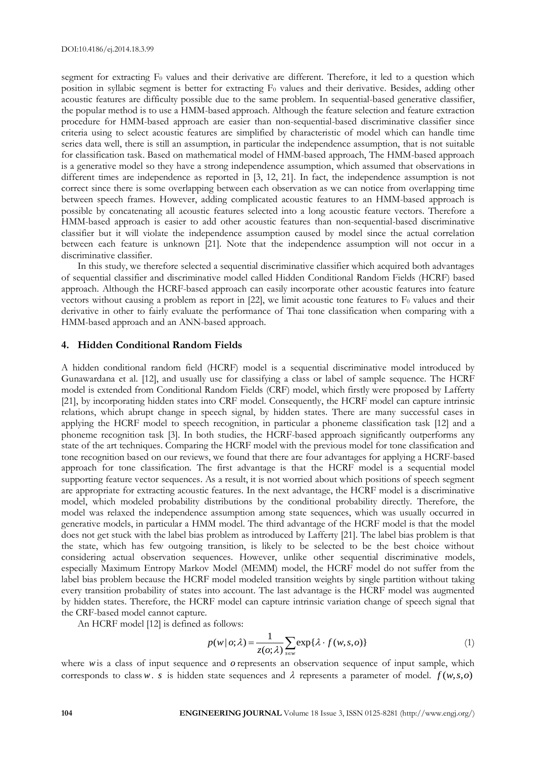segment for extracting  $F_0$  values and their derivative are different. Therefore, it led to a question which position in syllabic segment is better for extracting  $F_0$  values and their derivative. Besides, adding other acoustic features are difficulty possible due to the same problem. In sequential-based generative classifier, the popular method is to use a HMM-based approach. Although the feature selection and feature extraction procedure for HMM-based approach are easier than non-sequential-based discriminative classifier since criteria using to select acoustic features are simplified by characteristic of model which can handle time series data well, there is still an assumption, in particular the independence assumption, that is not suitable for classification task. Based on mathematical model of HMM-based approach, The HMM-based approach is a generative model so they have a strong independence assumption, which assumed that observations in different times are independence as reported in [3, 12, 21]. In fact, the independence assumption is not correct since there is some overlapping between each observation as we can notice from overlapping time between speech frames. However, adding complicated acoustic features to an HMM-based approach is possible by concatenating all acoustic features selected into a long acoustic feature vectors. Therefore a HMM-based approach is easier to add other acoustic features than non-sequential-based discriminative classifier but it will violate the independence assumption caused by model since the actual correlation between each feature is unknown [21]. Note that the independence assumption will not occur in a discriminative classifier.

In this study, we therefore selected a sequential discriminative classifier which acquired both advantages of sequential classifier and discriminative model called Hidden Conditional Random Fields (HCRF) based approach. Although the HCRF-based approach can easily incorporate other acoustic features into feature vectors without causing a problem as report in [22], we limit acoustic tone features to  $F_0$  values and their derivative in other to fairly evaluate the performance of Thai tone classification when comparing with a HMM-based approach and an ANN-based approach.

# **4. Hidden Conditional Random Fields**

A hidden conditional random field (HCRF) model is a sequential discriminative model introduced by Gunawardana et al. [12], and usually use for classifying a class or label of sample sequence. The HCRF model is extended from Conditional Random Fields (CRF) model, which firstly were proposed by Lafferty [21], by incorporating hidden states into CRF model. Consequently, the HCRF model can capture intrinsic relations, which abrupt change in speech signal, by hidden states. There are many successful cases in applying the HCRF model to speech recognition, in particular a phoneme classification task [12] and a phoneme recognition task [3]. In both studies, the HCRF-based approach significantly outperforms any state of the art techniques. Comparing the HCRF model with the previous model for tone classification and tone recognition based on our reviews, we found that there are four advantages for applying a HCRF-based approach for tone classification. The first advantage is that the HCRF model is a sequential model supporting feature vector sequences. As a result, it is not worried about which positions of speech segment are appropriate for extracting acoustic features. In the next advantage, the HCRF model is a discriminative model, which modeled probability distributions by the conditional probability directly. Therefore, the model was relaxed the independence assumption among state sequences, which was usually occurred in generative models, in particular a HMM model. The third advantage of the HCRF model is that the model does not get stuck with the label bias problem as introduced by Lafferty [21]. The label bias problem is that the state, which has few outgoing transition, is likely to be selected to be the best choice without considering actual observation sequences. However, unlike other sequential discriminative models, especially Maximum Entropy Markov Model (MEMM) model, the HCRF model do not suffer from the label bias problem because the HCRF model modeled transition weights by single partition without taking every transition probability of states into account. The last advantage is the HCRF model was augmented by hidden states. Therefore, the HCRF model can capture intrinsic variation change of speech signal that the CRF-based model cannot capture.

An HCRF model [12] is defined as follows:

$$
p(w|\,o;\lambda) = \frac{1}{z(o;\lambda)} \sum_{s \in w} \exp\{\lambda \cdot f(w,s,o)\}
$$
 (1)

where wis a class of input sequence and o represents an observation sequence of input sample, which corresponds to class w. *s* is hidden state sequences and  $\lambda$  represents a parameter of model.  $f(w, s, o)$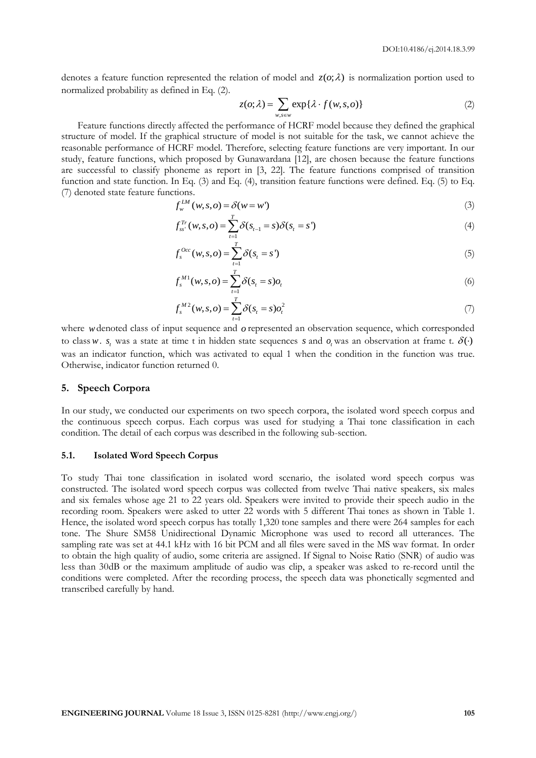denotes a feature function represented the relation of model and  $z(o; \lambda)$  is normalization portion used to normalized probability as defined in Eq. (2).

$$
z(o; \lambda) = \sum_{w,s \in w} \exp\{\lambda \cdot f(w,s,o)\}
$$
 (2)

Feature functions directly affected the performance of HCRF model because they defined the graphical structure of model. If the graphical structure of model is not suitable for the task, we cannot achieve the reasonable performance of HCRF model. Therefore, selecting feature functions are very important. In our study, feature functions, which proposed by Gunawardana [12], are chosen because the feature functions are successful to classify phoneme as report in [3, 22]. The feature functions comprised of transition function and state function. In Eq. (3) and Eq. (4), transition feature functions were defined. Eq. (5) to Eq. (7) denoted state feature functions.

$$
f_w^{LM}(w, s, o) = \delta(w = w')
$$
\n(3)

$$
f_{ss'}^{T_r}(w,s,o) = \sum_{t=1}^T \delta(s_{t-1} = s) \delta(s_t = s')
$$
\n(4)

$$
f_s^{Occ}(w, s, o) = \sum_{t=1}^{T} \delta(s_t = s') \tag{5}
$$

$$
f_s^{M1}(w, s, o) = \sum_{t=1}^{T} \delta(s_t = s) o_t
$$
 (6)

$$
f_s^{M2}(w,s,o) = \sum_{t=1}^T \delta(s_t = s) o_t^2
$$
 (7)

where w denoted class of input sequence and o represented an observation sequence, which corresponded to class w.  $s_t$  was a state at time t in hidden state sequences s and  $o_t$  was an observation at frame t.  $\delta(\cdot)$ was an indicator function, which was activated to equal 1 when the condition in the function was true. Otherwise, indicator function returned 0.

# **5. Speech Corpora**

In our study, we conducted our experiments on two speech corpora, the isolated word speech corpus and the continuous speech corpus. Each corpus was used for studying a Thai tone classification in each condition. The detail of each corpus was described in the following sub-section.

#### **5.1. Isolated Word Speech Corpus**

To study Thai tone classification in isolated word scenario, the isolated word speech corpus was constructed. The isolated word speech corpus was collected from twelve Thai native speakers, six males and six females whose age 21 to 22 years old. Speakers were invited to provide their speech audio in the recording room. Speakers were asked to utter 22 words with 5 different Thai tones as shown in Table 1. Hence, the isolated word speech corpus has totally 1,320 tone samples and there were 264 samples for each tone. The Shure SM58 Unidirectional Dynamic Microphone was used to record all utterances. The sampling rate was set at 44.1 kHz with 16 bit PCM and all files were saved in the MS wav format. In order to obtain the high quality of audio, some criteria are assigned. If Signal to Noise Ratio (SNR) of audio was less than 30dB or the maximum amplitude of audio was clip, a speaker was asked to re-record until the conditions were completed. After the recording process, the speech data was phonetically segmented and transcribed carefully by hand.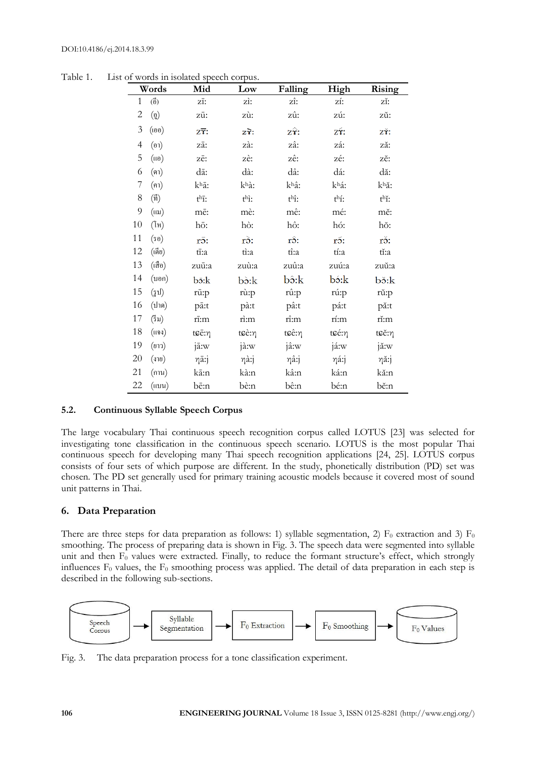|              | Words                                                      | Mid                        | Low                   | Falling               | High    | Rising   |
|--------------|------------------------------------------------------------|----------------------------|-----------------------|-----------------------|---------|----------|
| $\mathbf{1}$ | $\binom{2}{0}$                                             | zī:                        | zì:                   | zî:                   | zí:     | zĭ:      |
| 2            | $\left(\begin{smallmatrix} 0 \ 0 \end{smallmatrix}\right)$ | zū:                        | zù:                   | zû:                   | zú:     | zŭ:      |
| 3            | (เออ)                                                      | $Z\overline{\mathbf{r}}$ : | $z\hat{\mathbf{r}}$ : | $z\hat{\mathbf{x}}$ : | zΫ́:    | zΫ́:     |
| 4            | (01)                                                       | zā:                        | zà:                   | zâ:                   | zá:     | ză:      |
| 5            | (0)                                                        | zē:                        | zè:                   | zê:                   | zé:     | zĕ:      |
| 6            | (คา)                                                       | dā:                        | dà:                   | dâ:                   | dá:     | dă:      |
| 7            | (คา)                                                       | khā:                       | khà:                  | khâ:                  | khá:    | khă:     |
| 8            | $(\vec{\mathfrak{n}})$                                     | $t^h\overline{1}$ :        | $t^h$ i:              | $t^h$ î:              | $th$ í: | $t^h$ ĭ: |
| 9            | $(i\mathfrak{u})$                                          | mē:                        | mè:                   | mê:                   | mé:     | mĕ:      |
| $10\,$       | $(\tilde{l}n)$                                             | hō:                        | hò:                   | hô:                   | hó:     | hŏ:      |
| 11           | (50)                                                       | rō:                        | rò:                   | rô:                   | ró:     | rŏ:      |
| 12           | (เดีย)                                                     | tī:a                       | ti:a                  | tî:a                  | tí:a    | tĭ:a     |
| 13           | (เสือ)                                                     | zuū:a                      | zuù:a                 | zuû:a                 | zuú:a   | zuŭ:a    |
| 14           | (100)                                                      | bō:k                       | bò:k                  | bô:k                  | bó:k    | bɔ̃:k    |
| 15           | (51)                                                       | rū:p                       | rù:p                  | rû:p                  | rú:p    | rŭ:p     |
| 16           | (ปาค)                                                      | pā:t                       | pà:t                  | pâ:t                  | pá:t    | pă:t     |
| 17           | (5 <sup>3</sup> )                                          | rī:m                       | rì:m                  | rî:m                  | rí:m    | rĭ:m     |
| 18           | (uv)                                                       | tcē:η                      | tcè:η                 | tcê:η                 | tcé:η   | tce:η    |
| 19           | (ยาว)                                                      | jā:w                       | jà:w                  | jâ:w                  | já:w    | jă:w     |
| 20           | (310)                                                      | ηā:j                       | ηà:j                  | ηâ:j                  | ηá:j    | ηă:j     |
| 21           | (กาน)                                                      | kā:n                       | kà:n                  | kâ:n                  | ká:n    | kă:n     |
| 22           | (ii)                                                       | bē:n                       | bè:n                  | bê:n                  | bé:n    | bĕ:n     |

Table 1. List of words in isolated speech corpus.

# **5.2. Continuous Syllable Speech Corpus**

The large vocabulary Thai continuous speech recognition corpus called LOTUS [23] was selected for investigating tone classification in the continuous speech scenario. LOTUS is the most popular Thai continuous speech for developing many Thai speech recognition applications [24, 25]. LOTUS corpus consists of four sets of which purpose are different. In the study, phonetically distribution (PD) set was chosen. The PD set generally used for primary training acoustic models because it covered most of sound unit patterns in Thai.

# **6. Data Preparation**

There are three steps for data preparation as follows: 1) syllable segmentation, 2)  $F_0$  extraction and 3)  $F_0$ smoothing. The process of preparing data is shown in Fig. 3. The speech data were segmented into syllable unit and then F<sub>0</sub> values were extracted. Finally, to reduce the formant structure's effect, which strongly influences  $F_0$  values, the  $F_0$  smoothing process was applied. The detail of data preparation in each step is described in the following sub-sections.



Fig. 3. The data preparation process for a tone classification experiment.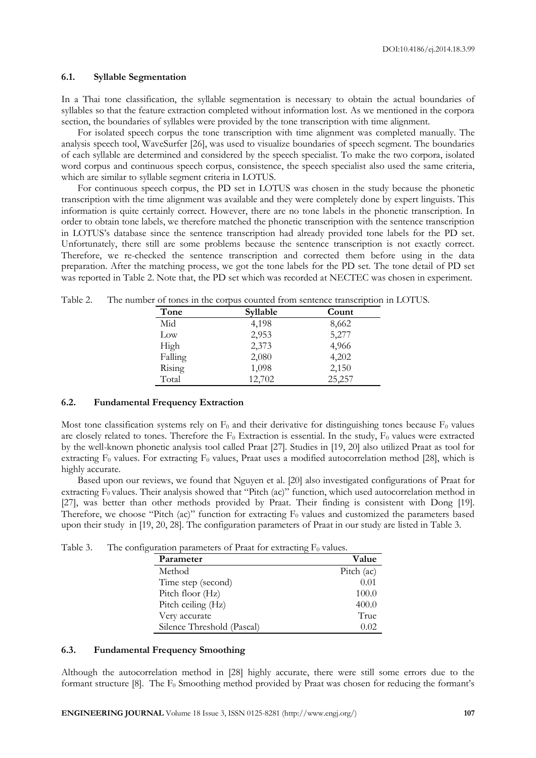# **6.1. Syllable Segmentation**

In a Thai tone classification, the syllable segmentation is necessary to obtain the actual boundaries of syllables so that the feature extraction completed without information lost. As we mentioned in the corpora section, the boundaries of syllables were provided by the tone transcription with time alignment.

For isolated speech corpus the tone transcription with time alignment was completed manually. The analysis speech tool, WaveSurfer [26], was used to visualize boundaries of speech segment. The boundaries of each syllable are determined and considered by the speech specialist. To make the two corpora, isolated word corpus and continuous speech corpus, consistence, the speech specialist also used the same criteria, which are similar to syllable segment criteria in LOTUS.

For continuous speech corpus, the PD set in LOTUS was chosen in the study because the phonetic transcription with the time alignment was available and they were completely done by expert linguists. This information is quite certainly correct. However, there are no tone labels in the phonetic transcription. In order to obtain tone labels, we therefore matched the phonetic transcription with the sentence transcription in LOTUS's database since the sentence transcription had already provided tone labels for the PD set. Unfortunately, there still are some problems because the sentence transcription is not exactly correct. Therefore, we re-checked the sentence transcription and corrected them before using in the data preparation. After the matching process, we got the tone labels for the PD set. The tone detail of PD set was reported in Table 2. Note that, the PD set which was recorded at NECTEC was chosen in experiment.

| Tone    | Syllable | Count  |
|---------|----------|--------|
| Mid     | 4,198    | 8,662  |
| Low     | 2,953    | 5,277  |
| High    | 2,373    | 4,966  |
| Falling | 2,080    | 4,202  |
| Rising  | 1,098    | 2,150  |
| Total   | 12,702   | 25,257 |

Table 2. The number of tones in the corpus counted from sentence transcription in LOTUS.

### **6.2. Fundamental Frequency Extraction**

Most tone classification systems rely on  $F_0$  and their derivative for distinguishing tones because  $F_0$  values are closely related to tones. Therefore the  $F_0$  Extraction is essential. In the study,  $F_0$  values were extracted by the well-known phonetic analysis tool called Praat [27]. Studies in [19, 20] also utilized Praat as tool for extracting  $F_0$  values. For extracting  $F_0$  values, Praat uses a modified autocorrelation method [28], which is highly accurate.

Based upon our reviews, we found that Nguyen et al. [20] also investigated configurations of Praat for extracting  $\overline{F}_0$  values. Their analysis showed that "Pitch (ac)" function, which used autocorrelation method in [27], was better than other methods provided by Praat. Their finding is consistent with Dong [19]. Therefore, we choose "Pitch (ac)" function for extracting  $F_0$  values and customized the parameters based upon their study in [19, 20, 28]. The configuration parameters of Praat in our study are listed in Table 3.

Table 3. The configuration parameters of Praat for extracting  $F_0$  values.

| Parameter                  | Value      |
|----------------------------|------------|
| Method                     | Pitch (ac) |
| Time step (second)         | 0.01       |
| Pitch floor (Hz)           | 100.0      |
| Pitch ceiling (Hz)         | 400.0      |
| Very accurate              | True       |
| Silence Threshold (Pascal) | 0.02       |

# **6.3. Fundamental Frequency Smoothing**

Although the autocorrelation method in [28] highly accurate, there were still some errors due to the formant structure [8]. The  $F_0$  Smoothing method provided by Praat was chosen for reducing the formant's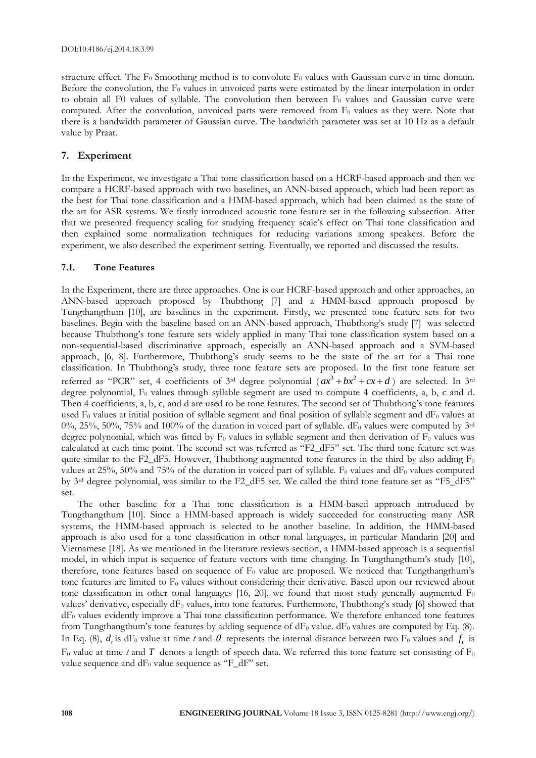structure effect. The  $F_0$  Smoothing method is to convolute  $F_0$  values with Gaussian curve in time domain. Before the convolution, the  $F_0$  values in unvoiced parts were estimated by the linear interpolation in order to obtain all F0 values of syllable. The convolution then between  $F_0$  values and Gaussian curve were computed. After the convolution, unvoiced parts were removed from  $F_0$  values as they were. Note that there is a bandwidth parameter of Gaussian curve. The bandwidth parameter was set at 10 Hz as a default value by Praat.

# **7. Experiment**

In the Experiment, we investigate a Thai tone classification based on a HCRF-based approach and then we compare a HCRF-based approach with two baselines, an ANN-based approach, which had been report as the best for Thai tone classification and a HMM-based approach, which had been claimed as the state of the art for ASR systems. We firstly introduced acoustic tone feature set in the following subsection. After that we presented frequency scaling for studying frequency scale's effect on Thai tone classification and then explained some normalization techniques for reducing variations among speakers. Before the experiment, we also described the experiment setting. Eventually, we reported and discussed the results.

# **7.1. Tone Features**

In the Experiment, there are three approaches. One is our HCRF-based approach and other approaches, an ANN-based approach proposed by Thubthong [7] and a HMM-based approach proposed by Tungthangthum [10], are baselines in the experiment. Firstly, we presented tone feature sets for two baselines. Begin with the baseline based on an ANN-based approach, Thubthong's study [7] was selected because Thubthong's tone feature sets widely applied in many Thai tone classification system based on a non-sequential-based discriminative approach, especially an ANN-based approach and a SVM-based approach, [6, 8]. Furthermore, Thubthong's study seems to be the state of the art for a Thai tone classification. In Thubthong's study, three tone feature sets are proposed. In the first tone feature set referred as "PCR" set, 4 coefficients of 3<sup>rd</sup> degree polynomial  $(ax^3 + bx^2 + cx + d)$  are selected. In 3<sup>rd</sup> degree polynomial,  $F_0$  values through syllable segment are used to compute 4 coefficients, a, b, c and d. Then 4 coefficients, a, b, c, and d are used to be tone features. The second set of Thubthong's tone features used  $F_0$  values at initial position of syllable segment and final position of syllable segment and  $dF_0$  values at 0%, 25%, 50%, 75% and 100% of the duration in voiced part of syllable.  $dF_0$  values were computed by 3rd degree polynomial, which was fitted by  $F_0$  values in syllable segment and then derivation of  $F_0$  values was calculated at each time point. The second set was referred as "F2\_dF5" set. The third tone feature set was quite similar to the F2\_dF5. However, Thubthong augmented tone features in the third by also adding  $F_0$ values at 25%, 50% and 75% of the duration in voiced part of syllable. F<sub>0</sub> values and dF<sub>0</sub> values computed by 3rd degree polynomial, was similar to the F2\_dF5 set. We called the third tone feature set as "F5\_dF5" set.

The other baseline for a Thai tone classification is a HMM-based approach introduced by Tungthangthum [10]. Since a HMM-based approach is widely succeeded for constructing many ASR systems, the HMM-based approach is selected to be another baseline. In addition, the HMM-based approach is also used for a tone classification in other tonal languages, in particular Mandarin [20] and Vietnamese [18]. As we mentioned in the literature reviews section, a HMM-based approach is a sequential model, in which input is sequence of feature vectors with time changing. In Tungthangthum's study [10], therefore, tone features based on sequence of  $F_0$  value are proposed. We noticed that Tungthangthum's tone features are limited to  $F_0$  values without considering their derivative. Based upon our reviewed about tone classification in other tonal languages [16, 20], we found that most study generally augmented  $F_0$ values' derivative, especially  $dF_0$  values, into tone features. Furthermore, Thubthong's study [6] showed that dF<sup>0</sup> values evidently improve a Thai tone classification performance. We therefore enhanced tone features from Tungthangthum's tone features by adding sequence of  $dF_0$  value.  $dF_0$  values are computed by Eq. (8). In Eq. (8),  $d_t$  is dF<sub>0</sub> value at time t and  $\theta$  represents the internal distance between two F<sub>0</sub> values and  $f_t$  is  $F_0$  value at time *t* and T denots a length of speech data. We referred this tone feature set consisting of  $F_0$ value sequence and dF<sub>0</sub> value sequence as "F\_dF" set.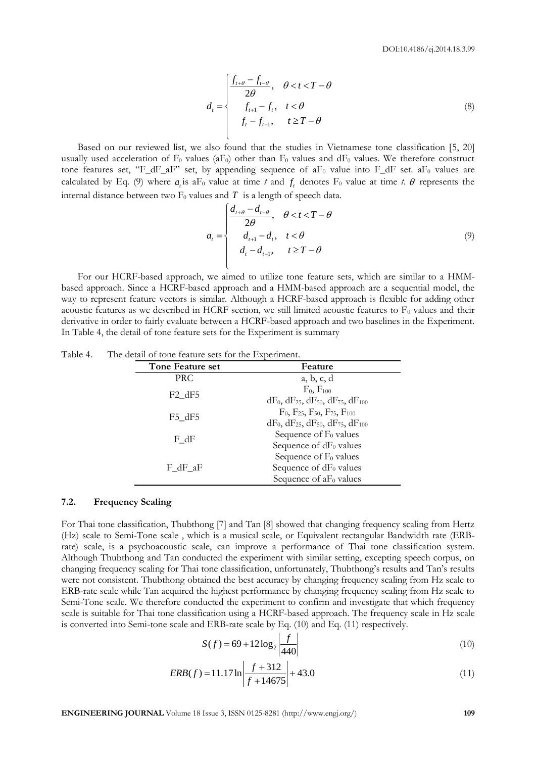$$
d_{t} = \begin{cases} \frac{f_{t+\theta} - f_{t-\theta}}{2\theta}, & \theta < t < T - \theta \\ f_{t+1} - f_{t}, & t < \theta \\ f_{t} - f_{t-1}, & t \ge T - \theta \end{cases}
$$
(8)

Based on our reviewed list, we also found that the studies in Vietnamese tone classification [5, 20] usually used acceleration of  $F_0$  values (a $F_0$ ) other than  $F_0$  values and d $F_0$  values. We therefore construct tone features set, "F\_dF\_aF" set, by appending sequence of aF<sub>0</sub> value into F\_dF set. aF<sub>0</sub> values are calculated by Eq. (9) where  $a_t$  is aF<sub>0</sub> value at time *t* and  $f_t$  denotes F<sub>0</sub> value at time *t*.  $\theta$  represents the internal distance between two F<sub>0</sub> values and T is a length of speech data.<br>  $\begin{cases} \frac{d_{t+\theta} - d_{t-\theta}}{2\theta}, & \theta < t < T-\theta \end{cases}$ 

$$
a_{t} = \begin{cases} \frac{d_{t+\theta} - d_{t-\theta}}{2\theta}, & \theta < t < T - \theta \\ d_{t+1} - d_{t}, & t < \theta \\ d_{t} - d_{t-1}, & t \ge T - \theta \end{cases}
$$
(9)

For our HCRF-based approach, we aimed to utilize tone feature sets, which are similar to a HMMbased approach. Since a HCRF-based approach and a HMM-based approach are a sequential model, the way to represent feature vectors is similar. Although a HCRF-based approach is flexible for adding other acoustic features as we described in HCRF section, we still limited acoustic features to  $F_0$  values and their derivative in order to fairly evaluate between a HCRF-based approach and two baselines in the Experiment. In Table 4, the detail of tone feature sets for the Experiment is summary

| Tone Feature set | Feature                                                                                                       |
|------------------|---------------------------------------------------------------------------------------------------------------|
| PRC              | a, b, c, d                                                                                                    |
| $F2_dF5$         | $F_0$ , $F_{100}$<br>$dF_0$ , $dF_{25}$ , $dF_{50}$ , $dF_{75}$ , $dF_{100}$                                  |
| $F5_dF5$         | $F_0$ , $F_{25}$ , $F_{50}$ , $F_{75}$ , $F_{100}$<br>$dF_0$ , $dF_{25}$ , $dF_{50}$ , $dF_{75}$ , $dF_{100}$ |
| F dF             | Sequence of $F_0$ values<br>Sequence of $dF_0$ values                                                         |
| F dF aF          | Sequence of $F_0$ values<br>Sequence of $dF_0$ values<br>Sequence of $aF_0$ values                            |

Table 4. The detail of tone feature sets for the Experiment.

#### **7.2. Frequency Scaling**

For Thai tone classification, Thubthong [7] and Tan [8] showed that changing frequency scaling from Hertz (Hz) scale to Semi-Tone scale , which is a musical scale, or Equivalent rectangular Bandwidth rate (ERBrate) scale, is a psychoacoustic scale, can improve a performance of Thai tone classification system. Although Thubthong and Tan conducted the experiment with similar setting, excepting speech corpus, on changing frequency scaling for Thai tone classification, unfortunately, Thubthong's results and Tan's results were not consistent. Thubthong obtained the best accuracy by changing frequency scaling from Hz scale to ERB-rate scale while Tan acquired the highest performance by changing frequency scaling from Hz scale to Semi-Tone scale. We therefore conducted the experiment to confirm and investigate that which frequency scale is suitable for Thai tone classification using a HCRF-based approach. The frequency scale in Hz scale is converted into Semi-tone scale and ERB-rate scale by Eq. (10) and Eq. (11) respectively.

$$
S(f) = 69 + 12\log_2\left|\frac{f}{440}\right| \tag{10}
$$

$$
ERB(f) = 11.17 \ln \left| \frac{f + 312}{f + 14675} \right| + 43.0 \tag{11}
$$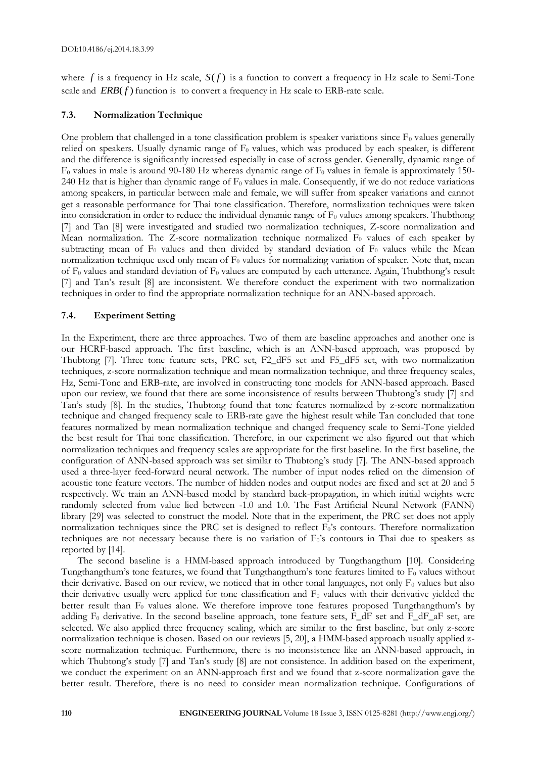where  $f$  is a frequency in Hz scale,  $S(f)$  is a function to convert a frequency in Hz scale to Semi-Tone scale and  $ERB(f)$  function is to convert a frequency in Hz scale to ERB-rate scale.

# **7.3. Normalization Technique**

One problem that challenged in a tone classification problem is speaker variations since  $F_0$  values generally relied on speakers. Usually dynamic range of  $F_0$  values, which was produced by each speaker, is different and the difference is significantly increased especially in case of across gender. Generally, dynamic range of  $F_0$  values in male is around 90-180 Hz whereas dynamic range of  $F_0$  values in female is approximately 150-240 Hz that is higher than dynamic range of  $F_0$  values in male. Consequently, if we do not reduce variations among speakers, in particular between male and female, we will suffer from speaker variations and cannot get a reasonable performance for Thai tone classification. Therefore, normalization techniques were taken into consideration in order to reduce the individual dynamic range of  $F_0$  values among speakers. Thubthong [7] and Tan [8] were investigated and studied two normalization techniques, Z-score normalization and Mean normalization. The Z-score normalization technique normalized  $F_0$  values of each speaker by subtracting mean of  $F_0$  values and then divided by standard deviation of  $F_0$  values while the Mean normalization technique used only mean of  $F_0$  values for normalizing variation of speaker. Note that, mean of  $F_0$  values and standard deviation of  $F_0$  values are computed by each utterance. Again, Thubthong's result [7] and Tan's result [8] are inconsistent. We therefore conduct the experiment with two normalization techniques in order to find the appropriate normalization technique for an ANN-based approach.

# **7.4. Experiment Setting**

In the Experiment, there are three approaches. Two of them are baseline approaches and another one is our HCRF-based approach. The first baseline, which is an ANN-based approach, was proposed by Thubtong [7]. Three tone feature sets, PRC set, F2\_dF5 set and F5\_dF5 set, with two normalization techniques, z-score normalization technique and mean normalization technique, and three frequency scales, Hz, Semi-Tone and ERB-rate, are involved in constructing tone models for ANN-based approach. Based upon our review, we found that there are some inconsistence of results between Thubtong's study [7] and Tan's study [8]. In the studies, Thubtong found that tone features normalized by z-score normalization technique and changed frequency scale to ERB-rate gave the highest result while Tan concluded that tone features normalized by mean normalization technique and changed frequency scale to Semi-Tone yielded the best result for Thai tone classification. Therefore, in our experiment we also figured out that which normalization techniques and frequency scales are appropriate for the first baseline. In the first baseline, the configuration of ANN-based approach was set similar to Thubtong's study [7]. The ANN-based approach used a three-layer feed-forward neural network. The number of input nodes relied on the dimension of acoustic tone feature vectors. The number of hidden nodes and output nodes are fixed and set at 20 and 5 respectively. We train an ANN-based model by standard back-propagation, in which initial weights were randomly selected from value lied between -1.0 and 1.0. The Fast Artificial Neural Network (FANN) library [29] was selected to construct the model. Note that in the experiment, the PRC set does not apply normalization techniques since the PRC set is designed to reflect F<sub>0</sub>'s contours. Therefore normalization techniques are not necessary because there is no variation of F0's contours in Thai due to speakers as reported by [14].

The second baseline is a HMM-based approach introduced by Tungthangthum [10]. Considering Tungthangthum's tone features, we found that Tungthangthum's tone features limited to  $F_0$  values without their derivative. Based on our review, we noticed that in other tonal languages, not only  $F_0$  values but also their derivative usually were applied for tone classification and  $F_0$  values with their derivative yielded the better result than  $F_0$  values alone. We therefore improve tone features proposed Tungthangthum's by adding  $F_0$  derivative. In the second baseline approach, tone feature sets,  $\overline{F_dF}$  set and  $\overline{F_dF}$  aff set, are selected. We also applied three frequency scaling, which are similar to the first baseline, but only z-score normalization technique is chosen. Based on our reviews [5, 20], a HMM-based approach usually applied zscore normalization technique. Furthermore, there is no inconsistence like an ANN-based approach, in which Thubtong's study [7] and Tan's study [8] are not consistence. In addition based on the experiment, we conduct the experiment on an ANN-approach first and we found that z-score normalization gave the better result. Therefore, there is no need to consider mean normalization technique. Configurations of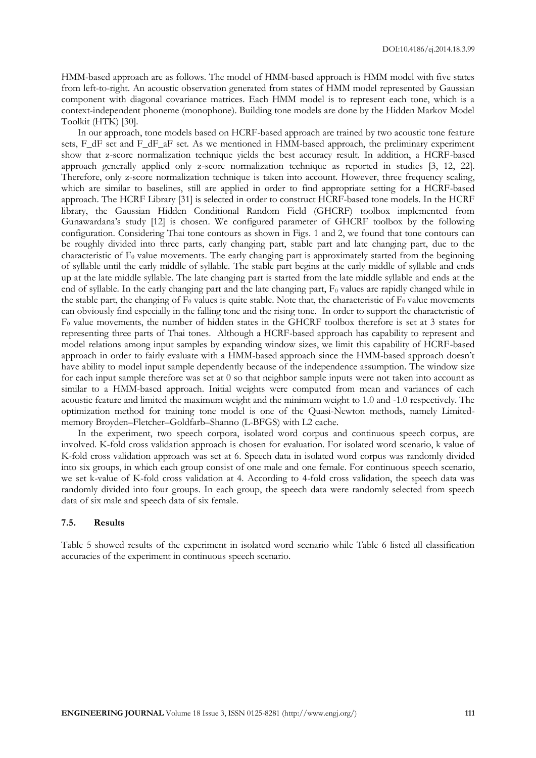HMM-based approach are as follows. The model of HMM-based approach is HMM model with five states from left-to-right. An acoustic observation generated from states of HMM model represented by Gaussian component with diagonal covariance matrices. Each HMM model is to represent each tone, which is a context-independent phoneme (monophone). Building tone models are done by the Hidden Markov Model Toolkit (HTK) [30].

In our approach, tone models based on HCRF-based approach are trained by two acoustic tone feature sets, F\_dF set and F\_dF\_aF set. As we mentioned in HMM-based approach, the preliminary experiment show that z-score normalization technique yields the best accuracy result. In addition, a HCRF-based approach generally applied only z-score normalization technique as reported in studies [3, 12, 22]. Therefore, only z-score normalization technique is taken into account. However, three frequency scaling, which are similar to baselines, still are applied in order to find appropriate setting for a HCRF-based approach. The HCRF Library [31] is selected in order to construct HCRF-based tone models. In the HCRF library, the Gaussian Hidden Conditional Random Field (GHCRF) toolbox implemented from Gunawardana's study [12] is chosen. We configured parameter of GHCRF toolbox by the following configuration. Considering Thai tone contours as shown in Figs. 1 and 2, we found that tone contours can be roughly divided into three parts, early changing part, stable part and late changing part, due to the characteristic of  $F_0$  value movements. The early changing part is approximately started from the beginning of syllable until the early middle of syllable. The stable part begins at the early middle of syllable and ends up at the late middle syllable. The late changing part is started from the late middle syllable and ends at the end of syllable. In the early changing part and the late changing part,  $F_0$  values are rapidly changed while in the stable part, the changing of  $F_0$  values is quite stable. Note that, the characteristic of  $F_0$  value movements can obviously find especially in the falling tone and the rising tone. In order to support the characteristic of F<sup>0</sup> value movements, the number of hidden states in the GHCRF toolbox therefore is set at 3 states for representing three parts of Thai tones. Although a HCRF-based approach has capability to represent and model relations among input samples by expanding window sizes, we limit this capability of HCRF-based approach in order to fairly evaluate with a HMM-based approach since the HMM-based approach doesn't have ability to model input sample dependently because of the independence assumption. The window size for each input sample therefore was set at 0 so that neighbor sample inputs were not taken into account as similar to a HMM-based approach. Initial weights were computed from mean and variances of each acoustic feature and limited the maximum weight and the minimum weight to 1.0 and -1.0 respectively. The optimization method for training tone model is one of the Quasi-Newton methods, namely Limitedmemory Broyden–Fletcher–Goldfarb–Shanno (L-BFGS) with L2 cache.

In the experiment, two speech corpora, isolated word corpus and continuous speech corpus, are involved. K-fold cross validation approach is chosen for evaluation. For isolated word scenario, k value of K-fold cross validation approach was set at 6. Speech data in isolated word corpus was randomly divided into six groups, in which each group consist of one male and one female. For continuous speech scenario, we set k-value of K-fold cross validation at 4. According to 4-fold cross validation, the speech data was randomly divided into four groups. In each group, the speech data were randomly selected from speech data of six male and speech data of six female.

#### **7.5. Results**

Table 5 showed results of the experiment in isolated word scenario while Table 6 listed all classification accuracies of the experiment in continuous speech scenario.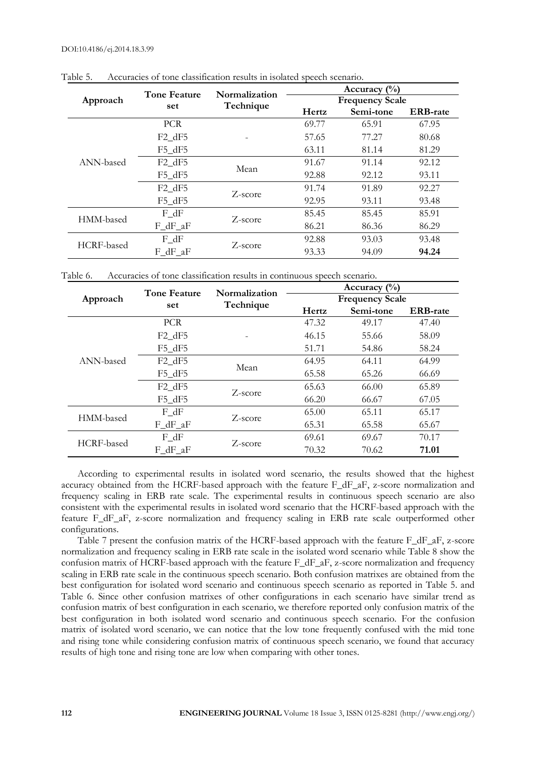|            | <b>Tone Feature</b> | Normalization | Accuracy $\binom{0}{0}$ |           |                 |  |  |
|------------|---------------------|---------------|-------------------------|-----------|-----------------|--|--|
| Approach   |                     |               | <b>Frequency Scale</b>  |           |                 |  |  |
|            | set                 | Technique     | Hertz                   | Semi-tone | <b>ERB-rate</b> |  |  |
|            | <b>PCR</b>          |               | 69.77                   | 65.91     | 67.95           |  |  |
|            | $F2$ dF5            |               | 57.65                   | 77.27     | 80.68           |  |  |
|            | $F5$ dF5            |               | 63.11                   | 81.14     | 81.29           |  |  |
| ANN-based  | $F2_dF5$            | Mean          | 91.67                   | 91.14     | 92.12           |  |  |
|            | $F5$ dF5            |               | 92.88                   | 92.12     | 93.11           |  |  |
|            | $F2$ dF5            | Z-score       | 91.74                   | 91.89     | 92.27           |  |  |
|            | F5 dF5              |               | 92.95                   | 93.11     | 93.48           |  |  |
| HMM-based  | F dF                | Z-score       | 85.45                   | 85.45     | 85.91           |  |  |
|            | $F_dF_aF$           |               | 86.21                   | 86.36     | 86.29           |  |  |
| HCRF-based | $F_dF$              | Z-score       | 92.88                   | 93.03     | 93.48           |  |  |
|            | F dF aF             |               | 93.33                   | 94.09     | 94.24           |  |  |

Table 5. Accuracies of tone classification results in isolated speech scenario.

Table 6. Accuracies of tone classification results in continuous speech scenario.

|            | <b>Tone Feature</b> | Normalization | Accuracy $\binom{0}{0}$ |           |                 |  |  |
|------------|---------------------|---------------|-------------------------|-----------|-----------------|--|--|
| Approach   |                     |               | <b>Frequency Scale</b>  |           |                 |  |  |
|            | set                 | Technique     | Hertz                   | Semi-tone | <b>ERB-rate</b> |  |  |
|            | <b>PCR</b>          |               | 47.32                   | 49.17     | 47.40           |  |  |
|            | $F2$ dF5            |               | 46.15                   | 55.66     | 58.09           |  |  |
|            | $F5$ dF5            |               | 51.71                   | 54.86     | 58.24           |  |  |
| ANN-based  | $F2$ dF5            | Mean          | 64.95                   | 64.11     | 64.99           |  |  |
|            | $F5$ dF5            |               | 65.58                   | 65.26     | 66.69           |  |  |
|            | $F2$ dF5            | Z-score       | 65.63                   | 66.00     | 65.89           |  |  |
|            | $F5$ dF5            |               | 66.20                   | 66.67     | 67.05           |  |  |
| HMM-based  | F dF                | Z-score       | 65.00                   | 65.11     | 65.17           |  |  |
|            | F dF aF             |               | 65.31                   | 65.58     | 65.67           |  |  |
| HCRF-based | $F_dF$              | Z-score       | 69.61                   | 69.67     | 70.17           |  |  |
|            | F dF aF             |               | 70.32                   | 70.62     | 71.01           |  |  |

According to experimental results in isolated word scenario, the results showed that the highest accuracy obtained from the HCRF-based approach with the feature F\_dF\_aF, z-score normalization and frequency scaling in ERB rate scale. The experimental results in continuous speech scenario are also consistent with the experimental results in isolated word scenario that the HCRF-based approach with the feature F\_dF\_aF, z-score normalization and frequency scaling in ERB rate scale outperformed other configurations.

Table 7 present the confusion matrix of the HCRF-based approach with the feature F  $dF$  aF, z-score normalization and frequency scaling in ERB rate scale in the isolated word scenario while Table 8 show the confusion matrix of HCRF-based approach with the feature F\_dF\_aF, z-score normalization and frequency scaling in ERB rate scale in the continuous speech scenario. Both confusion matrixes are obtained from the best configuration for isolated word scenario and continuous speech scenario as reported in Table 5. and Table 6. Since other confusion matrixes of other configurations in each scenario have similar trend as confusion matrix of best configuration in each scenario, we therefore reported only confusion matrix of the best configuration in both isolated word scenario and continuous speech scenario. For the confusion matrix of isolated word scenario, we can notice that the low tone frequently confused with the mid tone and rising tone while considering confusion matrix of continuous speech scenario, we found that accuracy results of high tone and rising tone are low when comparing with other tones.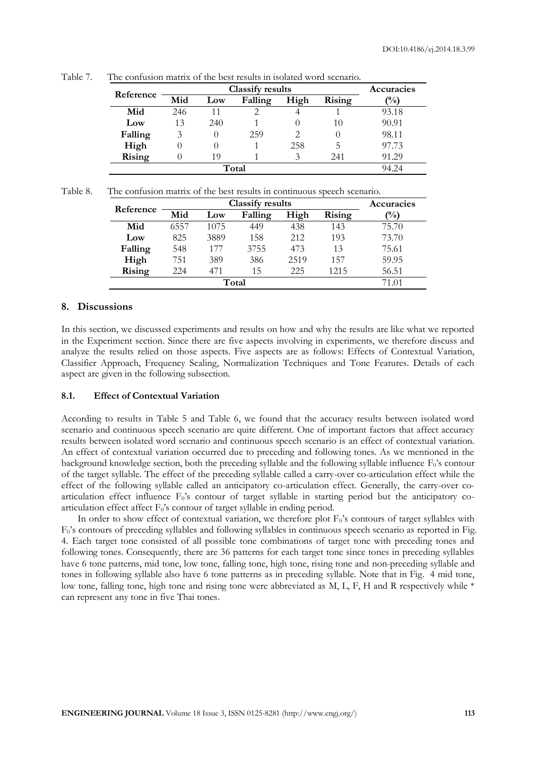| Reference |      | Accuracies |         |      |        |       |
|-----------|------|------------|---------|------|--------|-------|
|           | Mid  | Low        | Falling | High | Rising | (%)   |
| Mid       | 246  |            |         |      |        | 93.18 |
| Low       | 13   | 240        |         |      | 10     | 90.91 |
| Falling   | 3    |            | 259     |      |        | 98.11 |
| High      |      |            |         | 258  | 5      | 97.73 |
| Rising    |      | 19         |         | 3    | 241    | 91.29 |
|           | 14 Z |            |         |      |        |       |

Table 7. The confusion matrix of the best results in isolated word scenario.

| Table 8. |  |  |  | The confusion matrix of the best results in continuous speech scenario. |  |
|----------|--|--|--|-------------------------------------------------------------------------|--|
|          |  |  |  |                                                                         |  |

| Reference |       | Accuracies |         |      |        |       |
|-----------|-------|------------|---------|------|--------|-------|
|           | Mid   | Low        | Falling | High | Rising | (%)   |
| Mid       | 6557  | 1075       | 449     | 438  | 143    | 75.70 |
| Low       | 825   | 3889       | 158     | 212  | 193    | 73.70 |
| Falling   | 548   | 177        | 3755    | 473  | 13     | 75.61 |
| High      | 751   | 389        | 386     | 2519 | 157    | 59.95 |
| Rising    | 224   | 471        | 15      | 225  | 1215   | 56.51 |
|           | 71.01 |            |         |      |        |       |

# **8. Discussions**

In this section, we discussed experiments and results on how and why the results are like what we reported in the Experiment section. Since there are five aspects involving in experiments, we therefore discuss and analyze the results relied on those aspects. Five aspects are as follows: Effects of Contextual Variation, Classifier Approach, Frequency Scaling, Normalization Techniques and Tone Features. Details of each aspect are given in the following subsection.

#### **8.1. Effect of Contextual Variation**

According to results in Table 5 and Table 6, we found that the accuracy results between isolated word scenario and continuous speech scenario are quite different. One of important factors that affect accuracy results between isolated word scenario and continuous speech scenario is an effect of contextual variation. An effect of contextual variation occurred due to preceding and following tones. As we mentioned in the background knowledge section, both the preceding syllable and the following syllable influence  $F_0$ 's contour of the target syllable. The effect of the preceding syllable called a carry-over co-articulation effect while the effect of the following syllable called an anticipatory co-articulation effect. Generally, the carry-over coarticulation effect influence  $F_0$ 's contour of target syllable in starting period but the anticipatory coarticulation effect affect  $F_0$ 's contour of target syllable in ending period.

In order to show effect of contextual variation, we therefore plot  $F_0$ 's contours of target syllables with F0's contours of preceding syllables and following syllables in continuous speech scenario as reported in Fig. 4. Each target tone consisted of all possible tone combinations of target tone with preceding tones and following tones. Consequently, there are 36 patterns for each target tone since tones in preceding syllables have 6 tone patterns, mid tone, low tone, falling tone, high tone, rising tone and non-preceding syllable and tones in following syllable also have 6 tone patterns as in preceding syllable. Note that in Fig. 4 mid tone, low tone, falling tone, high tone and rising tone were abbreviated as M, L, F, H and R respectively while \* can represent any tone in five Thai tones.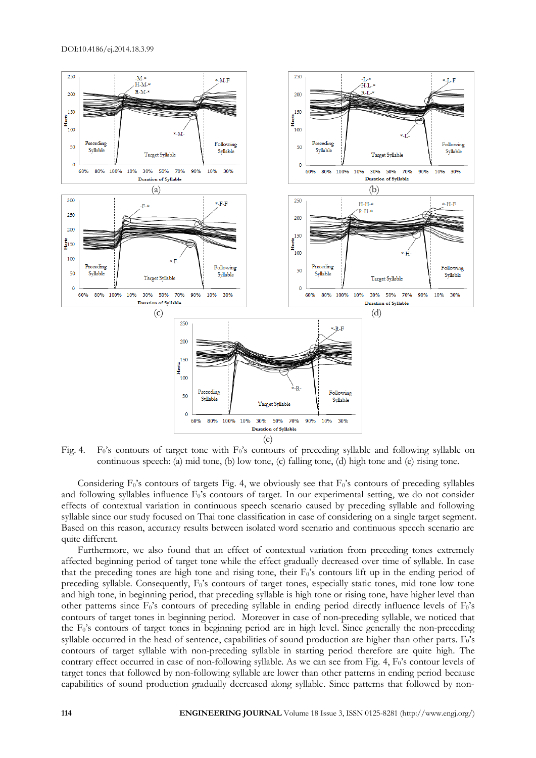

(e)

Fig. 4. F<sub>0</sub>'s contours of target tone with F<sub>0</sub>'s contours of preceding syllable and following syllable on continuous speech: (a) mid tone, (b) low tone, (c) falling tone, (d) high tone and (e) rising tone.

Considering  $F_0$ 's contours of targets Fig. 4, we obviously see that  $F_0$ 's contours of preceding syllables and following syllables influence  $F_0$ 's contours of target. In our experimental setting, we do not consider effects of contextual variation in continuous speech scenario caused by preceding syllable and following syllable since our study focused on Thai tone classification in case of considering on a single target segment. Based on this reason, accuracy results between isolated word scenario and continuous speech scenario are quite different.

Furthermore, we also found that an effect of contextual variation from preceding tones extremely affected beginning period of target tone while the effect gradually decreased over time of syllable. In case that the preceding tones are high tone and rising tone, their F<sub>0</sub>'s contours lift up in the ending period of preceding syllable. Consequently,  $F_0$ 's contours of target tones, especially static tones, mid tone low tone and high tone, in beginning period, that preceding syllable is high tone or rising tone, have higher level than other patterns since F<sub>0</sub>'s contours of preceding syllable in ending period directly influence levels of F<sub>0</sub>'s contours of target tones in beginning period. Moreover in case of non-preceding syllable, we noticed that the  $F_0$ 's contours of target tones in beginning period are in high level. Since generally the non-preceding syllable occurred in the head of sentence, capabilities of sound production are higher than other parts. F<sub>0</sub>'s contours of target syllable with non-preceding syllable in starting period therefore are quite high. The contrary effect occurred in case of non-following syllable. As we can see from Fig. 4,  $F_0$ 's contour levels of target tones that followed by non-following syllable are lower than other patterns in ending period because capabilities of sound production gradually decreased along syllable. Since patterns that followed by non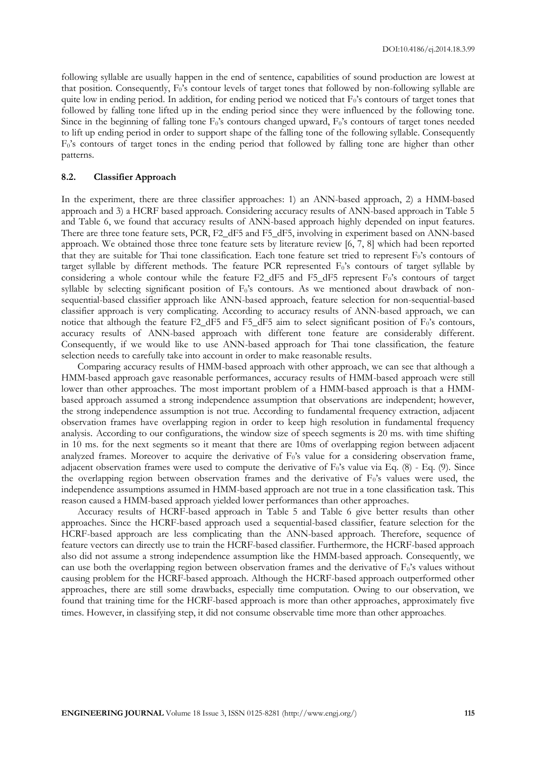following syllable are usually happen in the end of sentence, capabilities of sound production are lowest at that position. Consequently,  $F_0$ 's contour levels of target tones that followed by non-following syllable are quite low in ending period. In addition, for ending period we noticed that  $F_0$ 's contours of target tones that followed by falling tone lifted up in the ending period since they were influenced by the following tone. Since in the beginning of falling tone  $F_0$ 's contours changed upward,  $F_0$ 's contours of target tones needed to lift up ending period in order to support shape of the falling tone of the following syllable. Consequently  $F_0$ 's contours of target tones in the ending period that followed by falling tone are higher than other patterns.

# **8.2. Classifier Approach**

In the experiment, there are three classifier approaches: 1) an ANN-based approach, 2) a HMM-based approach and 3) a HCRF based approach. Considering accuracy results of ANN-based approach in Table 5 and Table 6, we found that accuracy results of ANN-based approach highly depended on input features. There are three tone feature sets, PCR, F2\_dF5 and F5\_dF5, involving in experiment based on ANN-based approach. We obtained those three tone feature sets by literature review [6, 7, 8] which had been reported that they are suitable for Thai tone classification. Each tone feature set tried to represent  $F_0$ 's contours of target syllable by different methods. The feature PCR represented  $F_0$ 's contours of target syllable by considering a whole contour while the feature  $F2_dF5$  and  $F5_dF5$  represent  $F_0$ 's contours of target syllable by selecting significant position of F<sub>0</sub>'s contours. As we mentioned about drawback of nonsequential-based classifier approach like ANN-based approach, feature selection for non-sequential-based classifier approach is very complicating. According to accuracy results of ANN-based approach, we can notice that although the feature F2\_dF5 and F5\_dF5 aim to select significant position of  $F_0$ 's contours, accuracy results of ANN-based approach with different tone feature are considerably different. Consequently, if we would like to use ANN-based approach for Thai tone classification, the feature selection needs to carefully take into account in order to make reasonable results.

Comparing accuracy results of HMM-based approach with other approach, we can see that although a HMM-based approach gave reasonable performances, accuracy results of HMM-based approach were still lower than other approaches. The most important problem of a HMM-based approach is that a HMMbased approach assumed a strong independence assumption that observations are independent; however, the strong independence assumption is not true. According to fundamental frequency extraction, adjacent observation frames have overlapping region in order to keep high resolution in fundamental frequency analysis. According to our configurations, the window size of speech segments is 20 ms. with time shifting in 10 ms. for the next segments so it meant that there are 10ms of overlapping region between adjacent analyzed frames. Moreover to acquire the derivative of  $F_0$ 's value for a considering observation frame, adjacent observation frames were used to compute the derivative of  $F_0$ 's value via Eq. (8) - Eq. (9). Since the overlapping region between observation frames and the derivative of F0's values were used, the independence assumptions assumed in HMM-based approach are not true in a tone classification task. This reason caused a HMM-based approach yielded lower performances than other approaches.

Accuracy results of HCRF-based approach in Table 5 and Table 6 give better results than other approaches. Since the HCRF-based approach used a sequential-based classifier, feature selection for the HCRF-based approach are less complicating than the ANN-based approach. Therefore, sequence of feature vectors can directly use to train the HCRF-based classifier. Furthermore, the HCRF-based approach also did not assume a strong independence assumption like the HMM-based approach. Consequently, we can use both the overlapping region between observation frames and the derivative of  $F_0$ 's values without causing problem for the HCRF-based approach. Although the HCRF-based approach outperformed other approaches, there are still some drawbacks, especially time computation. Owing to our observation, we found that training time for the HCRF-based approach is more than other approaches, approximately five times. However, in classifying step, it did not consume observable time more than other approaches.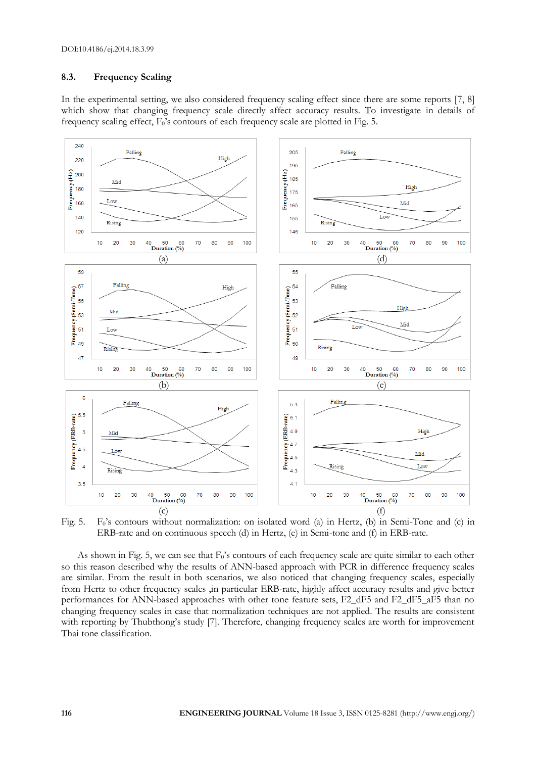# **8.3. Frequency Scaling**

In the experimental setting, we also considered frequency scaling effect since there are some reports [7, 8] which show that changing frequency scale directly affect accuracy results. To investigate in details of frequency scaling effect, F0's contours of each frequency scale are plotted in Fig. 5.



Fig. 5. F<sub>0</sub>'s contours without normalization: on isolated word (a) in Hertz, (b) in Semi-Tone and (c) in ERB-rate and on continuous speech (d) in Hertz, (e) in Semi-tone and (f) in ERB-rate.

As shown in Fig. 5, we can see that  $F_0$ 's contours of each frequency scale are quite similar to each other so this reason described why the results of ANN-based approach with PCR in difference frequency scales are similar. From the result in both scenarios, we also noticed that changing frequency scales, especially from Hertz to other frequency scales ,in particular ERB-rate, highly affect accuracy results and give better performances for ANN-based approaches with other tone feature sets, F2\_dF5 and F2\_dF5\_aF5 than no changing frequency scales in case that normalization techniques are not applied. The results are consistent with reporting by Thubthong's study [7]. Therefore, changing frequency scales are worth for improvement Thai tone classification.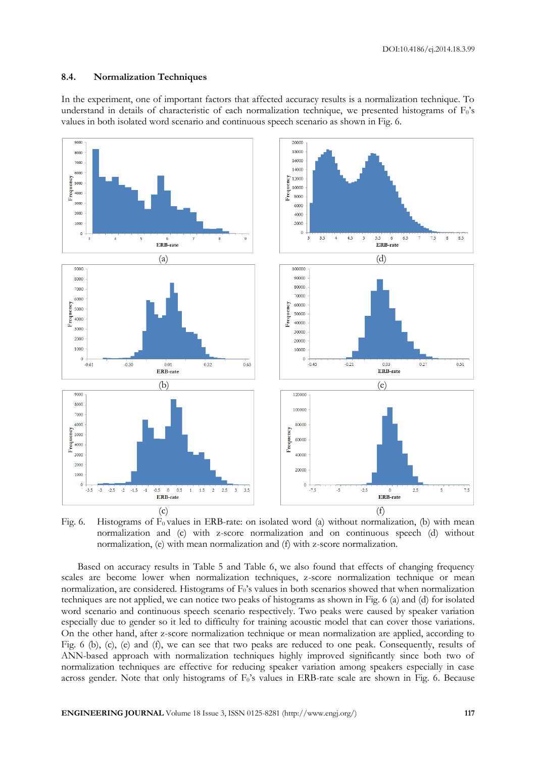# **8.4. Normalization Techniques**

In the experiment, one of important factors that affected accuracy results is a normalization technique. To understand in details of characteristic of each normalization technique, we presented histograms of F<sub>0</sub>'s values in both isolated word scenario and continuous speech scenario as shown in Fig. 6.



Fig. 6. Histograms of  $F_0$  values in ERB-rate: on isolated word (a) without normalization, (b) with mean normalization and (c) with z-score normalization and on continuous speech (d) without normalization, (e) with mean normalization and (f) with z-score normalization.

Based on accuracy results in Table 5 and Table 6, we also found that effects of changing frequency scales are become lower when normalization techniques, z-score normalization technique or mean normalization, are considered. Histograms of  $F_0$ 's values in both scenarios showed that when normalization techniques are not applied, we can notice two peaks of histograms as shown in Fig. 6 (a) and (d) for isolated word scenario and continuous speech scenario respectively. Two peaks were caused by speaker variation especially due to gender so it led to difficulty for training acoustic model that can cover those variations. On the other hand, after z-score normalization technique or mean normalization are applied, according to Fig. 6 (b), (c), (e) and (f), we can see that two peaks are reduced to one peak. Consequently, results of ANN-based approach with normalization techniques highly improved significantly since both two of normalization techniques are effective for reducing speaker variation among speakers especially in case across gender. Note that only histograms of  $F_0$ 's values in ERB-rate scale are shown in Fig. 6. Because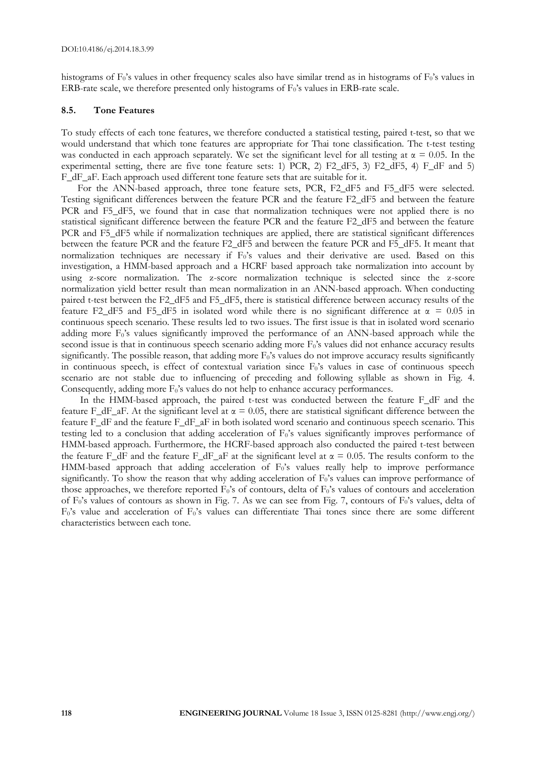histograms of  $F_0$ 's values in other frequency scales also have similar trend as in histograms of  $F_0$ 's values in ERB-rate scale, we therefore presented only histograms of F0's values in ERB-rate scale.

#### **8.5. Tone Features**

To study effects of each tone features, we therefore conducted a statistical testing, paired t-test, so that we would understand that which tone features are appropriate for Thai tone classification. The t-test testing was conducted in each approach separately. We set the significant level for all testing at  $\alpha = 0.05$ . In the experimental setting, there are five tone feature sets: 1) PCR, 2) F2\_dF5, 3) F2\_dF5, 4) F\_dF and 5) F\_dF\_aF. Each approach used different tone feature sets that are suitable for it.

For the ANN-based approach, three tone feature sets, PCR, F2\_dF5 and F5\_dF5 were selected. Testing significant differences between the feature PCR and the feature F2\_dF5 and between the feature PCR and F5\_dF5, we found that in case that normalization techniques were not applied there is no statistical significant difference between the feature PCR and the feature F2\_dF5 and between the feature PCR and F5\_dF5 while if normalization techniques are applied, there are statistical significant differences between the feature PCR and the feature F2\_dF5 and between the feature PCR and F5\_dF5. It meant that normalization techniques are necessary if  $F_0$ 's values and their derivative are used. Based on this investigation, a HMM-based approach and a HCRF based approach take normalization into account by using z-score normalization. The z-score normalization technique is selected since the z-score normalization yield better result than mean normalization in an ANN-based approach. When conducting paired t-test between the F2\_dF5 and F5\_dF5, there is statistical difference between accuracy results of the feature F2\_dF5 and F5\_dF5 in isolated word while there is no significant difference at  $\alpha = 0.05$  in continuous speech scenario. These results led to two issues. The first issue is that in isolated word scenario adding more  $F_0$ 's values significantly improved the performance of an ANN-based approach while the second issue is that in continuous speech scenario adding more  $F_0$ 's values did not enhance accuracy results significantly. The possible reason, that adding more  $F_0$ 's values do not improve accuracy results significantly in continuous speech, is effect of contextual variation since  $F_0$ 's values in case of continuous speech scenario are not stable due to influencing of preceding and following syllable as shown in Fig. 4. Consequently, adding more F<sub>0</sub>'s values do not help to enhance accuracy performances.

In the HMM-based approach, the paired t-test was conducted between the feature F\_dF and the feature F\_dF\_aF. At the significant level at  $\alpha = 0.05$ , there are statistical significant difference between the feature F\_dF and the feature F\_dF\_aF in both isolated word scenario and continuous speech scenario. This testing led to a conclusion that adding acceleration of F<sub>0</sub>'s values significantly improves performance of HMM-based approach. Furthermore, the HCRF-based approach also conducted the paired t-test between the feature F\_dF and the feature F\_dF\_aF at the significant level at  $\alpha = 0.05$ . The results conform to the HMM-based approach that adding acceleration of F<sub>0</sub>'s values really help to improve performance significantly. To show the reason that why adding acceleration of  $F_0$ 's values can improve performance of those approaches, we therefore reported  $\vec{F}_0$ 's of contours, delta of  $F_0$ 's values of contours and acceleration of F0's values of contours as shown in Fig. 7. As we can see from Fig. 7, contours of F0's values, delta of F0's value and acceleration of F0's values can differentiate Thai tones since there are some different characteristics between each tone.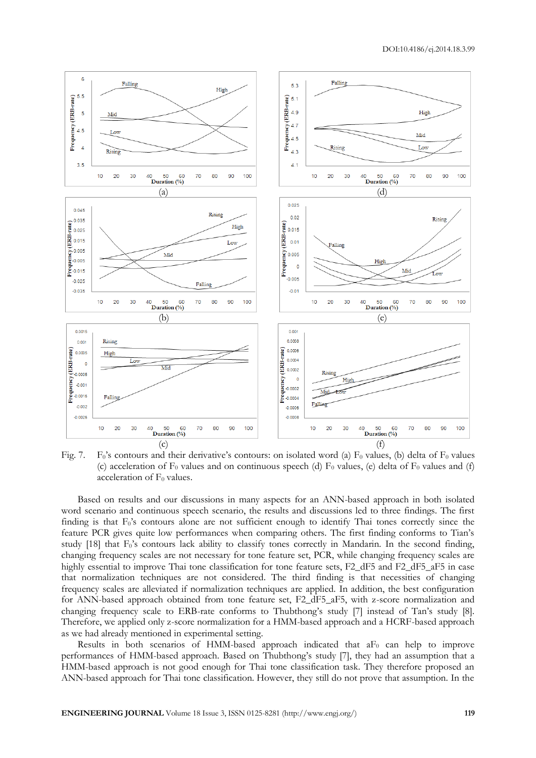

Fig. 7. F<sub>0</sub>'s contours and their derivative's contours: on isolated word (a) F<sub>0</sub> values, (b) delta of F<sub>0</sub> values (c) acceleration of  $F_0$  values and on continuous speech (d)  $F_0$  values, (e) delta of  $F_0$  values and (f) acceleration of  $F_0$  values.

Based on results and our discussions in many aspects for an ANN-based approach in both isolated word scenario and continuous speech scenario, the results and discussions led to three findings. The first finding is that F<sub>0</sub>'s contours alone are not sufficient enough to identify Thai tones correctly since the feature PCR gives quite low performances when comparing others. The first finding conforms to Tian's study [18] that F<sub>0</sub>'s contours lack ability to classify tones correctly in Mandarin. In the second finding, changing frequency scales are not necessary for tone feature set, PCR, while changing frequency scales are highly essential to improve Thai tone classification for tone feature sets, F2\_dF5 and F2\_dF5\_aF5 in case that normalization techniques are not considered. The third finding is that necessities of changing frequency scales are alleviated if normalization techniques are applied. In addition, the best configuration for ANN-based approach obtained from tone feature set, F2\_dF5\_aF5, with z-score normalization and changing frequency scale to ERB-rate conforms to Thubthong's study [7] instead of Tan's study [8]. Therefore, we applied only z-score normalization for a HMM-based approach and a HCRF-based approach as we had already mentioned in experimental setting.

Results in both scenarios of HMM-based approach indicated that  $aF_0$  can help to improve performances of HMM-based approach. Based on Thubthong's study [7], they had an assumption that a HMM-based approach is not good enough for Thai tone classification task. They therefore proposed an ANN-based approach for Thai tone classification. However, they still do not prove that assumption. In the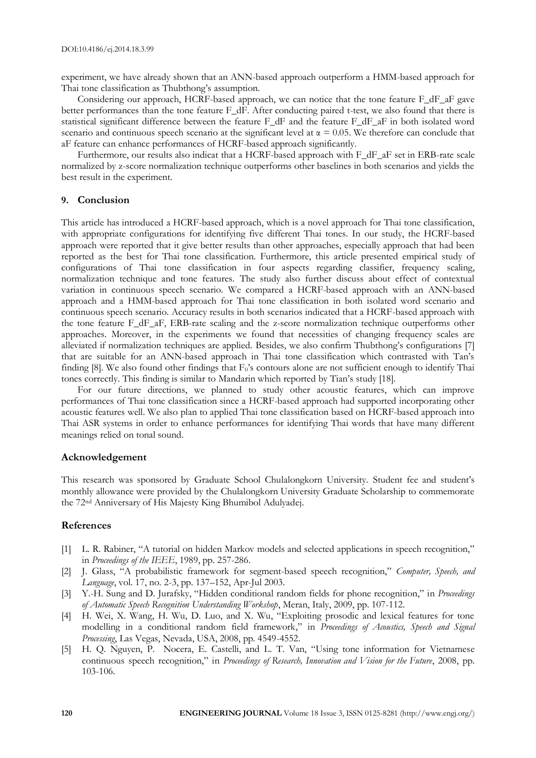experiment, we have already shown that an ANN-based approach outperform a HMM-based approach for Thai tone classification as Thubthong's assumption.

Considering our approach, HCRF-based approach, we can notice that the tone feature F\_dF\_aF gave better performances than the tone feature F\_dF. After conducting paired t-test, we also found that there is statistical significant difference between the feature F\_dF and the feature F\_dF\_aF in both isolated word scenario and continuous speech scenario at the significant level at  $\alpha = 0.05$ . We therefore can conclude that aF feature can enhance performances of HCRF-based approach significantly.

Furthermore, our results also indicat that a HCRF-based approach with F\_dF\_aF set in ERB-rate scale normalized by z-score normalization technique outperforms other baselines in both scenarios and yields the best result in the experiment.

#### **9. Conclusion**

This article has introduced a HCRF-based approach, which is a novel approach for Thai tone classification, with appropriate configurations for identifying five different Thai tones. In our study, the HCRF-based approach were reported that it give better results than other approaches, especially approach that had been reported as the best for Thai tone classification. Furthermore, this article presented empirical study of configurations of Thai tone classification in four aspects regarding classifier, frequency scaling, normalization technique and tone features. The study also further discuss about effect of contextual variation in continuous speech scenario. We compared a HCRF-based approach with an ANN-based approach and a HMM-based approach for Thai tone classification in both isolated word scenario and continuous speech scenario. Accuracy results in both scenarios indicated that a HCRF-based approach with the tone feature F\_dF\_aF, ERB-rate scaling and the z-score normalization technique outperforms other approaches. Moreover, in the experiments we found that necessities of changing frequency scales are alleviated if normalization techniques are applied. Besides, we also confirm Thubthong's configurations [7] that are suitable for an ANN-based approach in Thai tone classification which contrasted with Tan's finding [8]. We also found other findings that  $F_0$ 's contours alone are not sufficient enough to identify Thai tones correctly. This finding is similar to Mandarin which reported by Tian's study [18].

For our future directions, we planned to study other acoustic features, which can improve performances of Thai tone classification since a HCRF-based approach had supported incorporating other acoustic features well. We also plan to applied Thai tone classification based on HCRF-based approach into Thai ASR systems in order to enhance performances for identifying Thai words that have many different meanings relied on tonal sound.

# **Acknowledgement**

This research was sponsored by Graduate School Chulalongkorn University. Student fee and student's monthly allowance were provided by the Chulalongkorn University Graduate Scholarship to commemorate the 72nd Anniversary of His Majesty King Bhumibol Adulyadej.

# **References**

- [1] L. R. Rabiner, "A tutorial on hidden Markov models and selected applications in speech recognition," in *Proceedings of the IEEE*, 1989, pp. 257-286.
- [2] J. Glass, "A probabilistic framework for segment-based speech recognition," *Computer, Speech, and Language*, vol. 17, no. 2-3, pp. 137–152, Apr-Jul 2003.
- [3] Y.-H. Sung and D. Jurafsky, "Hidden conditional random fields for phone recognition," in *Proceedings of Automatic Speech Recognition Understanding Workshop*, Meran, Italy, 2009, pp. 107-112.
- [4] H. Wei, X. Wang, H. Wu, D. Luo, and X. Wu, "Exploiting prosodic and lexical features for tone modelling in a conditional random field framework," in *Proceedings of Acoustics, Speech and Signal Processing*, Las Vegas, Nevada, USA, 2008, pp. 4549-4552.
- [5] H. Q. Nguyen, P. Nocera, E. Castelli, and L. T. Van, "Using tone information for Vietnamese continuous speech recognition," in *Proceedings of Research, Innovation and Vision for the Future*, 2008, pp. 103-106.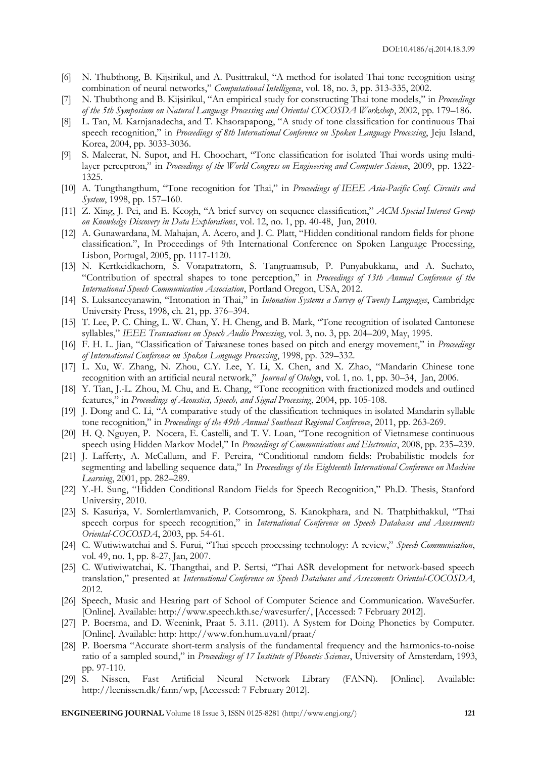- [6] N. Thubthong, B. Kijsirikul, and A. Pusittrakul, "A method for isolated Thai tone recognition using combination of neural networks," *Computational Intelligence*, vol. 18, no. 3, pp. 313-335, 2002.
- [7] N. Thubthong and B. Kijsirikul, "An empirical study for constructing Thai tone models," in *Proceedings of the 5th Symposium on Natural Language Processing and Oriental COCOSDA Workshop*, 2002, pp. 179–186.
- [8] L. Tan, M. Karnjanadecha, and T. Khaorapapong, "A study of tone classification for continuous Thai speech recognition," in *Proceedings of 8th International Conference on Spoken Language Processing*, Jeju Island, Korea, 2004, pp. 3033-3036.
- [9] S. Maleerat, N. Supot, and H. Choochart, "Tone classification for isolated Thai words using multilayer perceptron," in *Proceedings of the World Congress on Engineering and Computer Science*, 2009, pp. 1322-1325.
- [10] A. Tungthangthum, "Tone recognition for Thai," in *Proceedings of IEEE Asia-Pacific Conf. Circuits and System*, 1998, pp. 157–160.
- [11] Z. Xing, J. Pei, and E. Keogh, "A brief survey on sequence classification," *ACM Special Interest Group on Knowledge Discovery in Data Explorations*, vol. 12, no. 1, pp. 40-48, Jun, 2010.
- [12] A. Gunawardana, M. Mahajan, A. Acero, and J. C. Platt, "Hidden conditional random fields for phone classification.", In Proceedings of 9th International Conference on Spoken Language Processing, Lisbon, Portugal, 2005, pp. 1117-1120.
- [13] N. Kertkeidkachorn, S. Vorapatratorn, S. Tangruamsub, P. Punyabukkana, and A. Suchato, "Contribution of spectral shapes to tone perception," in *Proceedings of 13th Annual Conference of the International Speech Communication Association*, Portland Oregon, USA, 2012.
- [14] S. Luksaneeyanawin, "Intonation in Thai," in *Intonation Systems a Survey of Twenty Languages*, Cambridge University Press, 1998, ch. 21, pp. 376–394.
- [15] T. Lee, P. C. Ching, L. W. Chan, Y. H. Cheng, and B. Mark, "Tone recognition of isolated Cantonese syllables," *IEEE Transactions on Speech Audio Processing*, vol. 3, no. 3, pp. 204–209, May, 1995.
- [16] F. H. L. Jian, "Classification of Taiwanese tones based on pitch and energy movement," in *Proceedings of International Conference on Spoken Language Processing*, 1998, pp. 329–332.
- [17] L. Xu, W. Zhang, N. Zhou, C.Y. Lee, Y. Li, X. Chen, and X. Zhao, "Mandarin Chinese tone recognition with an artificial neural network," *Journal of Otology*, vol. 1, no. 1, pp. 30–34, Jan, 2006.
- [18] Y. Tian, J.-L. Zhou, M. Chu, and E. Chang, "Tone recognition with fractionized models and outlined features," in *Proceedings of Acoustics, Speech, and Signal Processing*, 2004, pp. 105-108.
- [19] J. Dong and C. Li, "A comparative study of the classification techniques in isolated Mandarin syllable tone recognition," in *Proceedings of the 49th Annual Southeast Regional Conference*, 2011, pp. 263-269.
- [20] H. Q. Nguyen, P. Nocera, E. Castelli, and T. V. Loan, "Tone recognition of Vietnamese continuous speech using Hidden Markov Model," In *Proceedings of Communications and Electronics*, 2008, pp. 235–239.
- [21] J. Lafferty, A. McCallum, and F. Pereira, "Conditional random fields: Probabilistic models for segmenting and labelling sequence data," In *Proceedings of the Eighteenth International Conference on Machine Learning*, 2001, pp. 282–289.
- [22] Y.-H. Sung, "Hidden Conditional Random Fields for Speech Recognition," Ph.D. Thesis, Stanford University, 2010.
- [23] S. Kasuriya, V. Sornlertlamvanich, P. Cotsomrong, S. Kanokphara, and N. Thatphithakkul, "Thai speech corpus for speech recognition," in *International Conference on Speech Databases and Assessments Oriental-COCOSDA*, 2003, pp. 54-61.
- [24] C. Wutiwiwatchai and S. Furui, "Thai speech processing technology: A review," *Speech Communication*, vol. 49, no. 1, pp. 8-27, Jan, 2007.
- [25] C. Wutiwiwatchai, K. Thangthai, and P. Sertsi, "Thai ASR development for network-based speech translation," presented at *International Conference on Speech Databases and Assessments Oriental-COCOSDA*, 2012.
- [26] Speech, Music and Hearing part of School of Computer Science and Communication. WaveSurfer. [Online]. Available: http://www.speech.kth.se/wavesurfer/, [Accessed: 7 February 2012].
- [27] P. Boersma, and D. Weenink, Praat 5. 3.11. (2011). A System for Doing Phonetics by Computer. [Online]. Available: http: http://www.fon.hum.uva.nl/praat/
- [28] P. Boersma "Accurate short-term analysis of the fundamental frequency and the harmonics-to-noise ratio of a sampled sound," in *Proceedings of 17 Institute of Phonetic Sciences*, University of Amsterdam, 1993, pp. 97-110.
- [29] S. Nissen, Fast Artificial Neural Network Library (FANN). [Online]. Available: http://leenissen.dk/fann/wp, [Accessed: 7 February 2012].

**ENGINEERING JOURNAL** Volume 18 Issue 3, ISSN 0125-8281 (http://www.engj.org/) **121**